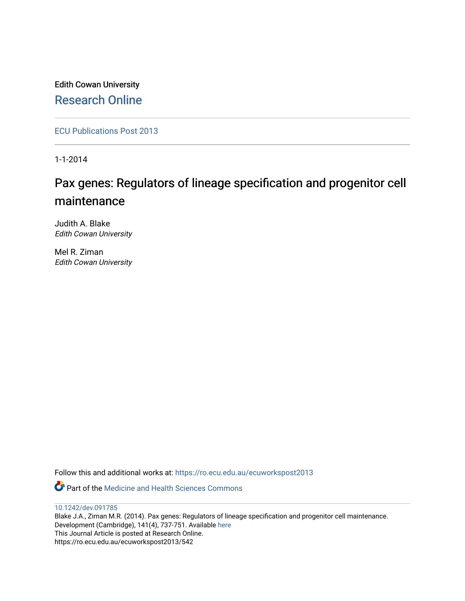Edith Cowan University [Research Online](https://ro.ecu.edu.au/) 

[ECU Publications Post 2013](https://ro.ecu.edu.au/ecuworkspost2013)

1-1-2014

# Pax genes: Regulators of lineage specification and progenitor cell maintenance

Judith A. Blake Edith Cowan University

Mel R. Ziman Edith Cowan University

Follow this and additional works at: [https://ro.ecu.edu.au/ecuworkspost2013](https://ro.ecu.edu.au/ecuworkspost2013?utm_source=ro.ecu.edu.au%2Fecuworkspost2013%2F542&utm_medium=PDF&utm_campaign=PDFCoverPages) 

Part of the [Medicine and Health Sciences Commons](http://network.bepress.com/hgg/discipline/648?utm_source=ro.ecu.edu.au%2Fecuworkspost2013%2F542&utm_medium=PDF&utm_campaign=PDFCoverPages) 

[10.1242/dev.091785](http://dx.doi.org/10.1242/dev.091785)  Blake J.A., Ziman M.R. (2014). Pax genes: Regulators of lineage specification and progenitor cell maintenance. Development (Cambridge), 141(4), 737-751. Available [here](http://dx.doi.org/10.1242/dev.091785) This Journal Article is posted at Research Online. https://ro.ecu.edu.au/ecuworkspost2013/542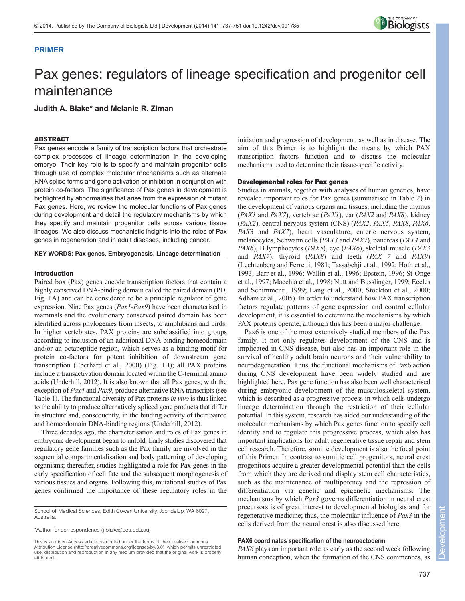

## **PRIMER**

# Pax genes: regulators of lineage specification and progenitor cell maintenance

**Judith A. Blake\* and Melanie R. Ziman**

## ABSTRACT

Pax genes encode a family of transcription factors that orchestrate complex processes of lineage determination in the developing embryo. Their key role is to specify and maintain progenitor cells through use of complex molecular mechanisms such as alternate RNA splice forms and gene activation or inhibition in conjunction with protein co-factors. The significance of Pax genes in development is highlighted by abnormalities that arise from the expression of mutant Pax genes. Here, we review the molecular functions of Pax genes during development and detail the regulatory mechanisms by which they specify and maintain progenitor cells across various tissue lineages. We also discuss mechanistic insights into the roles of Pax genes in regeneration and in adult diseases, including cancer.

## **KEY WORDS: Pax genes, Embryogenesis, Lineage determination**

### Introduction

Paired box (Pax) genes encode transcription factors that contain a highly conserved DNA-binding domain called the paired domain (PD, Fig. 1A) and can be considered to be a principle regulator of gene expression. Nine Pax genes (*Pax1-Pax9*) have been characterised in mammals and the evolutionary conserved paired domain has been identified across phylogenies from insects, to amphibians and birds. In higher vertebrates, PAX proteins are subclassified into groups according to inclusion of an additional DNA-binding homeodomain and/or an octapeptide region, which serves as a binding motif for protein co-factors for potent inhibition of downstream gene transcription (Eberhard et al., 2000) (Fig. 1B); all PAX proteins include a transactivation domain located within the C-terminal amino acids (Underhill, 2012). It is also known that all Pax genes, with the exception of *Pax4* and *Pax9*, produce alternative RNA transcripts (see Table 1). The functional diversity of Pax proteins *in vivo* is thus linked to the ability to produce alternatively spliced gene products that differ in structure and, consequently, in the binding activity of their paired and homeodomain DNA-binding regions (Underhill, 2012).

Three decades ago, the characterisation and roles of Pax genes in embryonic development began to unfold. Early studies discovered that regulatory gene families such as the Pax family are involved in the sequential compartmentalisation and body patterning of developing organisms; thereafter, studies highlighted a role for Pax genes in the early specification of cell fate and the subsequent morphogenesis of various tissues and organs. Following this, mutational studies of Pax genes confirmed the importance of these regulatory roles in the

School of Medical Sciences, Edith Cowan University, Joondalup, WA 6027, Australia.

\*Author for correspondence (j.blake@ecu.edu.au)

This is an Open Access article distributed under the terms of the Creative Commons Attribution License (http://creativecommons.org/licenses/by/3.0), which permits unrestricted use, distribution and reproduction in any medium provided that the original work is properly attributed.

initiation and progression of development, as well as in disease. The aim of this Primer is to highlight the means by which PAX transcription factors function and to discuss the molecular mechanisms used to determine their tissue-specific activity.

#### Developmental roles for Pax genes

Studies in animals, together with analyses of human genetics, have revealed important roles for Pax genes (summarised in Table 2) in the development of various organs and tissues, including the thymus (*PAX1* and *PAX7*), vertebrae (*PAX1*), ear (*PAX2* and *PAX8*), kidney (*PAX2*), central nervous system (CNS) (*PAX2*, *PAX5*, *PAX8*, *PAX6*, *PAX3* and *PAX7*), heart vasculature, enteric nervous system, melanocytes, Schwann cells (*PAX3* and *PAX7*), pancreas (*PAX4* and *PAX6*), B lymphocytes (*PAX5*), eye (*PAX6*), skeletal muscle (*PAX3* and *PAX7*), thyroid (*PAX8*) and teeth (*PAX 7* and *PAX9*) (Lechtenberg and Ferretti, 1981; Tassabehji et al., 1992; Hoth et al., 1993; Barr et al., 1996; Wallin et al., 1996; Epstein, 1996; St-Onge et al., 1997; Macchia et al., 1998; Nutt and Busslinger, 1999; Eccles and Schimmenti, 1999; Lang et al., 2000; Stockton et al., 2000; Adham et al., 2005). In order to understand how PAX transcription factors regulate patterns of gene expression and control cellular development, it is essential to determine the mechanisms by which PAX proteins operate, although this has been a major challenge.

Pax6 is one of the most extensively studied members of the Pax family. It not only regulates development of the CNS and is implicated in CNS disease, but also has an important role in the survival of healthy adult brain neurons and their vulnerability to neurodegeneration. Thus, the functional mechanisms of Pax6 action during CNS development have been widely studied and are highlighted here. Pax gene function has also been well characterised during embryonic development of the musculoskeletal system, which is described as a progressive process in which cells undergo lineage determination through the restriction of their cellular potential. In this system, research has aided our understanding of the molecular mechanisms by which Pax genes function to specify cell identity and to regulate this progressive process, which also has important implications for adult regenerative tissue repair and stem cell research. Therefore, somitic development is also the focal point of this Primer. In contrast to somitic cell progenitors, neural crest progenitors acquire a greater developmental potential than the cells from which they are derived and display stem cell characteristics, such as the maintenance of multipotency and the repression of differentiation via genetic and epigenetic mechanisms. The mechanisms by which *Pax3* governs differentiation in neural crest precursors is of great interest to developmental biologists and for regenerative medicine; thus, the molecular influence of *Pax3* in the cells derived from the neural crest is also discussed here.

## **PAX6 coordinates specification of the neuroectoderm**

*PAX6* plays an important role as early as the second week following human conception, when the formation of the CNS commences, as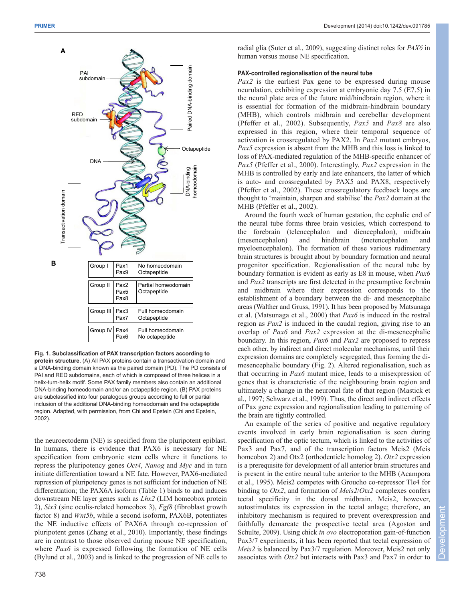

**Fig. 1. Subclassification of PAX transcription factors according to protein structure.** (A) All PAX proteins contain a transactivation domain and a DNA-binding domain known as the paired domain (PD). The PD consists of PAI and RED subdomains, each of which is composed of three helices in a helix-turn-helix motif. Some PAX family members also contain an additional DNA-binding homeodomain and/or an octapeptide region. (B) PAX proteins are subclassified into four paralogous groups according to full or partial inclusion of the additional DNA-binding homeodomain and the octapeptide region. Adapted, with permission, from Chi and Epstein (Chi and Epstein, 2002).

the neuroectoderm (NE) is specified from the pluripotent epiblast. In humans, there is evidence that PAX6 is necessary for NE specification from embryonic stem cells where it functions to repress the pluripotency genes *Oct4*, *Nanog* and *Myc* and in turn initiate differentiation toward a NE fate. However, PAX6-mediated repression of pluripotency genes is not sufficient for induction of NE differentiation; the PAX6A isoform (Table 1) binds to and induces downstream NE layer genes such as *Lhx2* (LIM homeobox protein 2), *Six3* (sine oculis-related homeobox 3), *Fgf8* (fibroblast growth factor 8) and *Wnt5b*, while a second isoform, PAX6B, potentiates the NE inductive effects of PAX6A through co-repression of pluripotent genes (Zhang et al., 2010). Importantly, these findings are in contrast to those observed during mouse NE specification, where *Pax6* is expressed following the formation of NE cells (Bylund et al., 2003) and is linked to the progression of NE cells to radial glia (Suter et al., 2009), suggesting distinct roles for *PAX6* in human versus mouse NE specification.

## **PAX-controlled regionalisation of the neural tube**

*Pax2* is the earliest Pax gene to be expressed during mouse neurulation, exhibiting expression at embryonic day 7.5 (E7.5) in the neural plate area of the future mid/hindbrain region, where it is essential for formation of the midbrain-hindbrain boundary (MHB), which controls midbrain and cerebellar development (Pfeffer et al., 2002). Subsequently, *Pax5* and *Pax8* are also expressed in this region, where their temporal sequence of activation is crossregulated by PAX2. In *Pax2* mutant embryos, *Pax5* expression is absent from the MHB and this loss is linked to loss of PAX-mediated regulation of the MHB-specific enhancer of *Pax5* (Pfeffer et al., 2000). Interestingly, *Pax2* expression in the MHB is controlled by early and late enhancers, the latter of which is auto- and crossregulated by PAX5 and PAX8, respectively (Pfeffer et al., 2002). These crossregulatory feedback loops are thought to 'maintain, sharpen and stabilise' the *Pax2* domain at the MHB (Pfeffer et al., 2002).

Around the fourth week of human gestation, the cephalic end of the neural tube forms three brain vesicles, which correspond to the forebrain (telencephalon and diencephalon), midbrain (mesencephalon) and hindbrain (metencephalon and myeloencephalon). The formation of these various rudimentary brain structures is brought about by boundary formation and neural progenitor specification. Regionalisation of the neural tube by boundary formation is evident as early as E8 in mouse, when *Pax6* and *Pax2* transcripts are first detected in the presumptive forebrain and midbrain where their expression corresponds to the establishment of a boundary between the di- and mesencephalic areas (Walther and Gruss, 1991). It has been proposed by Matsunaga et al. (Matsunaga et al., 2000) that *Pax6* is induced in the rostral region as *Pax2* is induced in the caudal region, giving rise to an overlap of *Pax6* and *Pax2* expression at the di-mesencephalic boundary. In this region, *Pax6* and *Pax2* are proposed to repress each other, by indirect and direct molecular mechanisms, until their expression domains are completely segregated, thus forming the dimesencephalic boundary (Fig. 2). Altered regionalisation, such as that occurring in *Pax6* mutant mice, leads to a misexpression of genes that is characteristic of the neighbouring brain region and ultimately a change in the neuronal fate of that region (Mastick et al., 1997; Schwarz et al., 1999). Thus, the direct and indirect effects of Pax gene expression and regionalisation leading to patterning of the brain are tightly controlled.

An example of the series of positive and negative regulatory events involved in early brain regionalisation is seen during specification of the optic tectum, which is linked to the activities of Pax3 and Pax7, and of the transcription factors Meis2 (Meis homeobox 2) and Otx2 (orthodenticle homolog 2). *Otx2* expression is a prerequisite for development of all anterior brain structures and is present in the entire neural tube anterior to the MHB (Acampora et al., 1995). Meis2 competes with Groucho co-repressor Tle4 for binding to *Otx2*, and formation of *Meis2*/*Otx2* complexes confers tectal specificity in the dorsal midbrain. Meis2, however, autostimulates its expression in the tectal anlage; therefore, an inhibitory mechanism is required to prevent overexpression and faithfully demarcate the prospective tectal area (Agoston and Schulte, 2009). Using chick *in ovo* electroporation gain-of-function Pax3/7 experiments, it has been reported that tectal expression of *Meis2* is balanced by Pax3/7 regulation. Moreover, Meis2 not only associates with *Otx2* but interacts with Pax3 and Pax7 in order to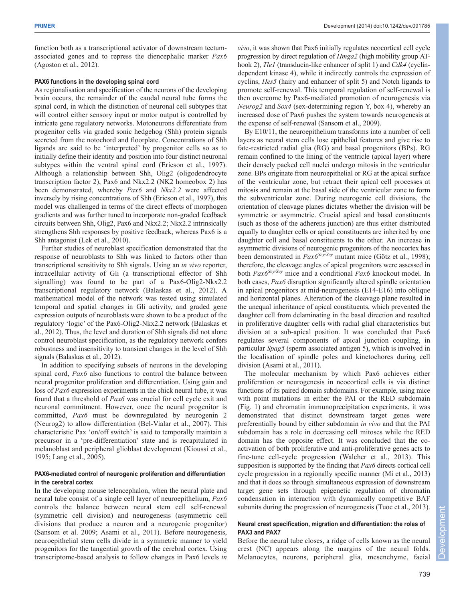function both as a transcriptional activator of downstream tectumassociated genes and to repress the diencephalic marker *Pax6* (Agoston et al., 2012).

## **PAX6 functions in the developing spinal cord**

As regionalisation and specification of the neurons of the developing brain occurs, the remainder of the caudal neural tube forms the spinal cord, in which the distinction of neuronal cell subtypes that will control either sensory input or motor output is controlled by intricate gene regulatory networks. Motoneurons differentiate from progenitor cells via graded sonic hedgehog (Shh) protein signals secreted from the notochord and floorplate. Concentrations of Shh ligands are said to be 'interpreted' by progenitor cells so as to initially define their identity and position into four distinct neuronal subtypes within the ventral spinal cord (Ericson et al., 1997). Although a relationship between Shh, Olig2 (oligodendrocyte transcription factor 2), Pax6 and Nkx2.2 (NK2 homeobox 2) has been demonstrated, whereby *Pax6* and *Nkx2.2* were affected inversely by rising concentrations of Shh (Ericson et al., 1997), this model was challenged in terms of the direct effects of morphogen gradients and was further tuned to incorporate non-graded feedback circuits between Shh, Olig2, Pax6 and Nkx2.2; Nkx2.2 intrinsically strengthens Shh responses by positive feedback, whereas Pax6 is a Shh antagonist (Lek et al., 2010).

Further studies of neuroblast specification demonstrated that the response of neuroblasts to Shh was linked to factors other than transcriptional sensitivity to Shh signals. Using an *in vivo* reporter, intracellular activity of Gli (a transcriptional effector of Shh signalling) was found to be part of a Pax6-Olig2-Nkx2.2 transcriptional regulatory network (Balaskas et al., 2012). A mathematical model of the network was tested using simulated temporal and spatial changes in Gli activity, and graded gene expression outputs of neuroblasts were shown to be a product of the regulatory 'logic' of the Pax6-Olig2-Nkx2.2 network (Balaskas et al., 2012). Thus, the level and duration of Shh signals did not alone control neuroblast specification, as the regulatory network confers robustness and insensitivity to transient changes in the level of Shh signals (Balaskas et al., 2012).

In addition to specifying subsets of neurons in the developing spinal cord, *Pax6* also functions to control the balance between neural progenitor proliferation and differentiation. Using gain and loss of *Pax6* expression experiments in the chick neural tube, it was found that a threshold of *Pax6* was crucial for cell cycle exit and neuronal commitment. However, once the neural progenitor is committed, *Pax6* must be downregulated by neurogenin 2 (Neurog2) to allow differentiation (Bel-Vialar et al., 2007). This characteristic Pax 'on/off switch' is said to temporally maintain a precursor in a 'pre-differentiation' state and is recapitulated in melanoblast and peripheral glioblast development (Kioussi et al., 1995; Lang et al., 2005).

## **PAX6-mediated control of neurogenic proliferation and differentiation in the cerebral cortex**

In the developing mouse telencephalon, when the neural plate and neural tube consist of a single cell layer of neuroepithelium, *Pax6* controls the balance between neural stem cell self-renewal (symmetric cell division) and neurogenesis (asymmetric cell divisions that produce a neuron and a neurogenic progenitor) (Sansom et al. 2009; Asami et al., 2011). Before neurogenesis, neuroepithelial stem cells divide in a symmetric manner to yield progenitors for the tangential growth of the cerebral cortex. Using transcriptome-based analysis to follow changes in Pax6 levels *in* *vivo*, it was shown that Pax6 initially regulates neocortical cell cycle progression by direct regulation of *Hmga2* (high mobility group AThook 2), *Tle1* (transducin-like enhancer of split 1) and *Cdk4* (cyclindependent kinase 4), while it indirectly controls the expression of cyclins, *Hes5* (hairy and enhancer of split 5) and Notch ligands to promote self-renewal. This temporal regulation of self-renewal is then overcome by Pax6-mediated promotion of neurogenesis via *Neurog2* and *Sox4* (sex-determining region Y, box 4), whereby an increased dose of Pax6 pushes the system towards neurogenesis at the expense of self-renewal (Sansom et al., 2009).

By E10/11, the neuroepithelium transforms into a number of cell layers as neural stem cells lose epithelial features and give rise to fate-restricted radial glia (RG) and basal progenitors (BPs). RG remain confined to the lining of the ventricle (apical layer) where their densely packed cell nuclei undergo mitosis in the ventricular zone. BPs originate from neuroepithelial or RG at the apical surface of the ventricular zone, but retract their apical cell processes at mitosis and remain at the basal side of the ventricular zone to form the subventricular zone. During neurogenic cell divisions, the orientation of cleavage planes dictates whether the division will be symmetric or asymmetric. Crucial apical and basal constituents (such as those of the adherens junction) are thus either distributed equally to daughter cells or apical constituents are inherited by one daughter cell and basal constituents to the other. An increase in asymmetric divisions of neurogenic progenitors of the neocortex has been demonstrated in *Pax6Sey/Sey* mutant mice (Götz et al., 1998); therefore, the cleavage angles of apical progenitors were assessed in both *Pax6Sey/Sey* mice and a conditional *Pax6* knockout model. In both cases, *Pax6* disruption significantly altered spindle orientation in apical progenitors at mid-neurogenesis (E14-E16) into oblique and horizontal planes. Alteration of the cleavage plane resulted in the unequal inheritance of apical constituents, which prevented the daughter cell from delaminating in the basal direction and resulted in proliferative daughter cells with radial glial characteristics but division at a sub-apical position. It was concluded that Pax6 regulates several components of apical junction coupling, in particular *Spag5* (sperm associated antigen 5), which is involved in the localisation of spindle poles and kinetochores during cell division (Asami et al., 2011).

The molecular mechanism by which Pax6 achieves either proliferation or neurogenesis in neocortical cells is via distinct functions of its paired domain subdomains. For example, using mice with point mutations in either the PAI or the RED subdomain (Fig. 1) and chromatin immunoprecipitation experiments, it was demonstrated that distinct downstream target genes were preferentially bound by either subdomain *in vivo* and that the PAI subdomain has a role in decreasing cell mitoses while the RED domain has the opposite effect. It was concluded that the coactivation of both proliferative and anti-proliferative genes acts to fine-tune cell-cycle progression (Walcher et al., 2013). This supposition is supported by the finding that *Pax6* directs cortical cell cycle progression in a regionally specific manner (Mi et al., 2013) and that it does so through simultaneous expression of downstream target gene sets through epigenetic regulation of chromatin condensation in interaction with dynamically competitive BAF subunits during the progression of neurogenesis (Tuoc et al., 2013).

## **Neural crest specification, migration and differentiation: the roles of PAX3 and PAX7**

Before the neural tube closes, a ridge of cells known as the neural crest (NC) appears along the margins of the neural folds. Melanocytes, neurons, peripheral glia, mesenchyme, facial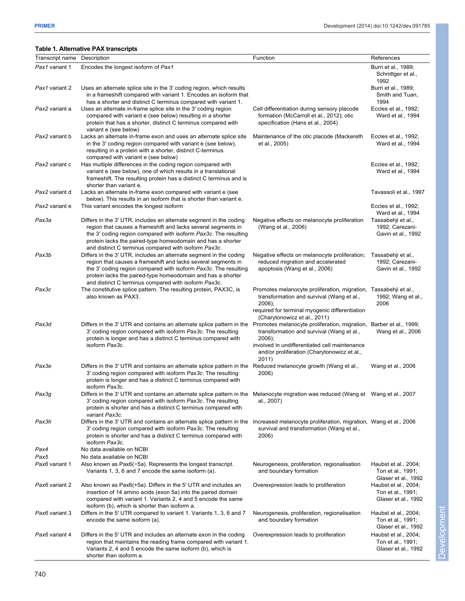## **Table 1. Alternative PAX transcripts**

| Transcript name Description |                                                                                                                                                                                                                                                                                                                               | Function                                                                                                                                                                                 | References                                                       |
|-----------------------------|-------------------------------------------------------------------------------------------------------------------------------------------------------------------------------------------------------------------------------------------------------------------------------------------------------------------------------|------------------------------------------------------------------------------------------------------------------------------------------------------------------------------------------|------------------------------------------------------------------|
| Pax1 variant 1              | Encodes the longest isoform of Pax1                                                                                                                                                                                                                                                                                           |                                                                                                                                                                                          | Burri et al., 1989;                                              |
|                             |                                                                                                                                                                                                                                                                                                                               |                                                                                                                                                                                          | Schnittger et al.,<br>1992                                       |
| Pax1 variant 2              | Uses an alternate splice site in the 3' coding region, which results<br>in a frameshift compared with variant 1. Encodes an isoform that<br>has a shorter and distinct C terminus compared with variant 1.                                                                                                                    |                                                                                                                                                                                          | Burri et al., 1989;<br>Smith and Tuan,<br>1994                   |
| Pax2 variant a              | Uses an alternate in-frame splice site in the 3' coding region<br>compared with variant e (see below) resulting in a shorter<br>protein that has a shorter, distinct C terminus compared with<br>variant e (see below)                                                                                                        | Cell differentiation during sensory placode<br>formation (McCarroll et al., 2012); otic<br>specification (Hans et al., 2004)                                                             | Eccles et al., 1992;<br>Ward et al., 1994                        |
| Pax2 variant b              | Lacks an alternate in-frame exon and uses an alternate splice site<br>in the 3' coding region compared with variant e (see below),<br>resulting in a protein with a shorter, distinct C-terminus<br>compared with variant e (see below)                                                                                       | Maintenance of the otic placode (Mackereth<br>et al., 2005)                                                                                                                              | Eccles et al., 1992;<br>Ward et al., 1994                        |
| Pax2 variant c              | Has multiple differences in the coding region compared with<br>variant e (see below), one of which results in a translational<br>frameshift. The resulting protein has a distinct C terminus and is<br>shorter than variant e.                                                                                                |                                                                                                                                                                                          | Eccles et al., 1992;<br>Ward et al., 1994                        |
| Pax2 variant d              | Lacks an alternate in-frame exon compared with variant e (see<br>below). This results in an isoform that is shorter than variant e.                                                                                                                                                                                           |                                                                                                                                                                                          | Tavassoli et al., 1997                                           |
| Pax2 variant e              | This variant encodes the longest isoform                                                                                                                                                                                                                                                                                      |                                                                                                                                                                                          | Eccles et al., 1992;<br>Ward et al., 1994                        |
| Pax3a                       | Differs in the 3' UTR, includes an alternate segment in the coding<br>region that causes a frameshift and lacks several segments in<br>the 3' coding region compared with isoform Pax3c. The resulting<br>protein lacks the paired-type homeodomain and has a shorter<br>and distinct C terminus compared with isoform Pax3c. | Negative effects on melanocyte proliferation<br>(Wang et al., 2006)                                                                                                                      | Tassabehji et al.,<br>1992; Carezani-<br>Gavin et al., 1992      |
| Pax3b                       | Differs in the 3' UTR, includes an alternate segment in the coding<br>region that causes a frameshift and lacks several segments in<br>the 3' coding region compared with isoform Pax3c. The resulting<br>protein lacks the paired-type homeodomain and has a shorter<br>and distinct C terminus compared with isoform Pax3c. | Negative effects on melanocyte proliferation;<br>reduced migration and accelerated<br>apoptosis (Wang et al., 2006)                                                                      | Tassabehji et al.,<br>1992; Carezani-<br>Gavin et al., 1992      |
| Pax3c                       | The constitutive splice pattern. The resulting protein, PAX3C, is<br>also known as PAX3.                                                                                                                                                                                                                                      | Promotes melanocyte proliferation, migration,<br>transformation and survival (Wang et al.,<br>$2006$ ;<br>required for terminal myogenic differentiation<br>(Charytonowicz et al., 2011) | Tassabehji et al.,<br>1992; Wang et al.,<br>2006                 |
| Pax3d                       | Differs in the 3' UTR and contains an alternate splice pattern in the Promotes melanocyte proliferation, migration, Barber et al., 1999;<br>3' coding region compared with isoform Pax3c. The resulting<br>protein is longer and has a distinct C terminus compared with<br>isoform Pax3c.                                    | transformation and survival (Wang et al.,<br>$2006$ ;<br>involved in undifferentiated cell maintenance<br>and/or proliferation (Charytonowicz et al.,<br>2011)                           | Wang et al., 2006                                                |
| Pax3e                       | Differs in the 3' UTR and contains an alternate splice pattern in the Reduced melanocyte growth (Wang et al.,<br>3' coding region compared with isoform Pax3c. The resulting<br>protein is longer and has a distinct C terminus compared with<br>isoform Pax3c.                                                               | 2006)                                                                                                                                                                                    | Wang et al., 2006                                                |
| Pax3g                       | Differs in the 3' UTR and contains an alternate splice pattern in the Melanocyte migration was reduced (Wang et Wang et al., 2007<br>3' coding region compared with isoform Pax3c. The resulting<br>protein is shorter and has a distinct C terminus compared with<br>variant Pax3c.                                          | al., 2007)                                                                                                                                                                               |                                                                  |
| Pax3h                       | Differs in the 3' UTR and contains an alternate splice pattern in the<br>3' coding region compared with isoform Pax3c. The resulting<br>protein is shorter and has a distinct C terminus compared with<br>isoform Pax3c.                                                                                                      | Increased melanocyte proliferation, migration, Wang et al., 2006<br>survival and transformation (Wang et al.,<br>2006)                                                                   |                                                                  |
| Pax4                        | No data available on NCBI                                                                                                                                                                                                                                                                                                     |                                                                                                                                                                                          |                                                                  |
| Pax5<br>Pax6 variant 1      | No data available on NCBI<br>Also known as Pax6(-5a). Represents the longest transcript.<br>Variants 1, 3, 6 and 7 encode the same isoform (a).                                                                                                                                                                               | Neurogenesis, proliferation, regionalisation<br>and boundary formation                                                                                                                   | Haubst et al., 2004;<br>Ton et al., 1991;<br>Glaser et al., 1992 |
| Pax6 variant 2              | Also known as Pax6(+5a). Differs in the 5' UTR and includes an<br>insertion of 14 amino acids (exon 5a) into the paired domain<br>compared with variant 1. Variants 2, 4 and 5 encode the same<br>isoform (b), which is shorter than isoform a.                                                                               | Overexpression leads to proliferation                                                                                                                                                    | Haubst et al., 2004;<br>Ton et al., 1991;<br>Glaser et al., 1992 |
| Pax6 variant 3              | Differs in the 5' UTR compared to variant 1. Variants 1, 3, 6 and 7<br>encode the same isoform (a).                                                                                                                                                                                                                           | Neurogenesis, proliferation, regionalisation<br>and boundary formation                                                                                                                   | Haubst et al., 2004;<br>Ton et al., 1991;<br>Glaser et al., 1992 |
| Pax6 variant 4              | Differs in the 5' UTR and includes an alternate exon in the coding<br>region that maintains the reading frame compared with variant 1.<br>Variants 2, 4 and 5 encode the same isoform (b), which is<br>shorter than isoform a.                                                                                                | Overexpression leads to proliferation                                                                                                                                                    | Haubst et al., 2004;<br>Ton et al., 1991;<br>Glaser et al., 1992 |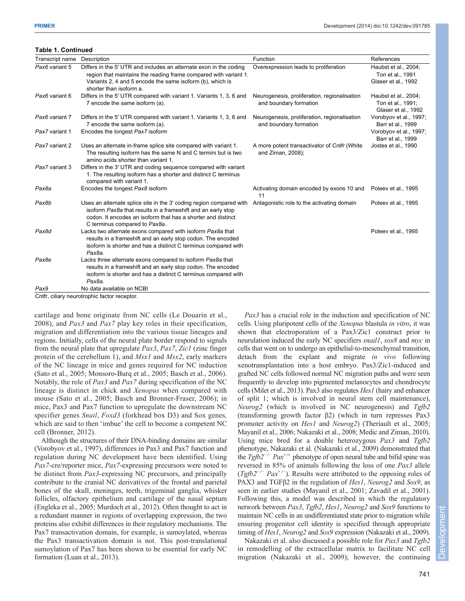## **Table 1. Continued**

| Transcript name | Description                                                                                                                                                                                                                          | Function                                                               | References                                                       |
|-----------------|--------------------------------------------------------------------------------------------------------------------------------------------------------------------------------------------------------------------------------------|------------------------------------------------------------------------|------------------------------------------------------------------|
| Pax6 variant 5  | Differs in the 5' UTR and includes an alternate exon in the coding<br>region that maintains the reading frame compared with variant 1.<br>Variants 2, 4 and 5 encode the same isoform (b), which is<br>shorter than isoform a.       | Overexpression leads to proliferation                                  | Haubst et al., 2004;<br>Ton et al., 1991<br>Glaser et al., 1992  |
| Pax6 variant 6  | Differs in the 5' UTR compared with variant 1. Variants 1, 3, 6 and<br>7 encode the same isoform (a).                                                                                                                                | Neurogenesis, proliferation, regionalisation<br>and boundary formation | Haubst et al., 2004;<br>Ton et al., 1991;<br>Glaser et al., 1992 |
| Pax6 variant 7  | Differs in the 5' UTR compared with variant 1. Variants 1, 3, 6 and<br>7 encode the same isoform (a).                                                                                                                                | Neurogenesis, proliferation, regionalisation<br>and boundary formation | Vorobyov et al., 1997;<br>Barr et al., 1999                      |
| Pax7 variant 1  | Encodes the longest Pax7 isoform                                                                                                                                                                                                     |                                                                        | Vorobyov et al., 1997;<br>Barr et al., 1999                      |
| Pax7 variant 2  | Uses an alternate in-frame splice site compared with variant 1.<br>The resulting isoform has the same N and C termini but is two<br>amino acids shorter than variant 1.                                                              | A more potent transactivator of Cntfr (White<br>and Ziman, 2008);      | Jostes et al., 1990                                              |
| Pax7 variant 3  | Differs in the 3' UTR and coding sequence compared with variant<br>1. The resulting isoform has a shorter and distinct C terminus<br>compared with variant 1.                                                                        |                                                                        |                                                                  |
| Pax8a           | Encodes the longest Pax8 isoform                                                                                                                                                                                                     | Activating domain encoded by exons 10 and<br>11                        | Poleev et al., 1995                                              |
| Pax8b           | Uses an alternate splice site in the 3' coding region compared with<br>isoform Pax8a that results in a frameshift and an early stop<br>codon. It encodes an isoform that has a shorter and distinct<br>C terminus compared to Pax8a. | Antagonistic role to the activating domain                             | Poleev et al., 1995                                              |
| Pax8d           | Lacks two alternate exons compared with isoform Pax8a that<br>results in a frameshift and an early stop codon. The encoded<br>isoform is shorter and has a distinct C terminus compared with<br>Pax8a.                               |                                                                        | Poleev et al., 1995                                              |
| Pax8e           | Lacks three alternate exons compared to isoform Pax8a that<br>results in a frameshift and an early stop codon. The encoded<br>isoform is shorter and has a distinct C terminus compared with<br>Pax8a.                               |                                                                        |                                                                  |
| Pax9            | No data available on NCBI                                                                                                                                                                                                            |                                                                        |                                                                  |

Cntfr, ciliary neurotrophic factor receptor.

cartilage and bone originate from NC cells (Le Douarin et al., 2008), and *Pax3* and *Pax7* play key roles in their specification, migration and differentiation into the various tissue lineages and regions. Initially, cells of the neural plate border respond to signals from the neural plate that upregulate *Pax3*, *Pax7*, *Zic1* (zinc finger protein of the cerebellum 1), and *Msx1* and *Msx2*, early markers of the NC lineage in mice and genes required for NC induction (Sato et al., 2005; Monsoro-Burq et al., 2005; Basch et al., 2006). Notably, the role of *Pax3* and *Pax7* during specification of the NC lineage is distinct in chick and *Xenopus* when compared with mouse (Sato et al., 2005; Basch and Bronner-Fraser, 2006); in mice, Pax3 and Pax7 function to upregulate the downstream NC specifier genes *Snail*, *Foxd3* (forkhead box D3) and Sox genes*,* which are said to then 'imbue' the cell to become a competent NC cell (Bronner, 2012).

Although the structures of their DNA-binding domains are similar (Vorobyov et al., 1997), differences in Pax3 and Pax7 function and regulation during NC development have been identified. Using *Pax7*-cre/reporter mice, *Pax7*-expressing precursors were noted to be distinct from *Pax3*-expressing NC precursors, and principally contribute to the cranial NC derivatives of the frontal and parietal bones of the skull, meninges, teeth, trigeminal ganglia, whisker follicles, olfactory epithelium and cartilage of the nasal septum (Engleka et al., 2005; Murdoch et al., 2012). Often thought to act in a redundant manner in regions of overlapping expression, the two proteins also exhibit differences in their regulatory mechanisms. The Pax7 transactivation domain, for example, is sumoylated, whereas the Pax3 transactivation domain is not. This post-translational sumoylation of Pax7 has been shown to be essential for early NC formation (Luan et al., 2013).

*Pax3* has a crucial role in the induction and specification of NC cells. Using pluripotent cells of the *Xenopus* blastula *in vitro*, it was shown that electroporation of a Pax3/Zic1 construct prior to neurulation induced the early NC specifiers *snail1*, *sox8* and *myc* in cells that went on to undergo an epithelial-to-mesenchymal transition, detach from the explant and migrate *in vivo* following xenotransplantation into a host embryo. Pax3/Zic1-induced and grafted NC cells followed normal NC migration paths and were seen frequently to develop into pigmented melanocytes and chondrocyte cells (Milet et al., 2013). Pax3 also regulates *Hes1* (hairy and enhancer of split 1; which is involved in neural stem cell maintenance), *Neurog2* (which is involved in NC neurogenesis) and *Tgfb2* (transforming growth factor β2) (which in turn represses Pax3 promoter activity on *Hes1* and *Neurog2*) (Theriault et al., 2005; Mayanil et al., 2006; Nakazaki et al., 2008; Medic and Ziman, 2010). Using mice bred for a double heterozygous *Pax3* and *Tgfb2* phenotype, Nakazaki et al. (Nakazaki et al., 2009) demonstrated that the *Tgfb2<sup>−</sup>/<sup>−</sup> Pax+/+* phenotype of open neural tube and bifid spine was reversed in 85% of animals following the loss of one *Pax3* allele (*Tgfb2<sup>−</sup>/<sup>−</sup> Pax+/<sup>−</sup>*). Results were attributed to the opposing roles of PAX3 and TGFβ2 in the regulation of *Hes1*, *Neurog2* and *Sox9*, as seen in earlier studies (Mayanil et al., 2001; Zavadil et al., 2001). Following this, a model was described in which the regulatory network between *Pax3*, *Tgfb2*, *Hes1*, *Neurog2* and *Sox9* functions to maintain NC cells in an undifferentiated state prior to migration while ensuring progenitor cell identity is specified through appropriate timing of *Hes1*, *Neurog2* and *Sox9* expression (Nakazaki et al., 2009).

Nakazaki et al. also discussed a possible role for *Pax3* and *Tgfb2* in remodelling of the extracellular matrix to facilitate NC cell migration (Nakazaki et al., 2009); however, the continuing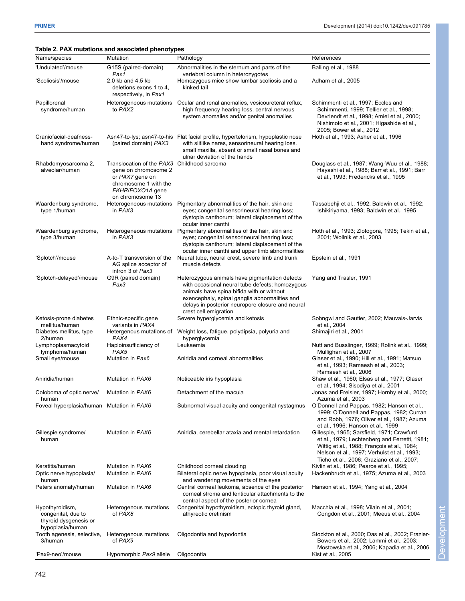## **Table 2. PAX mutations and associated phenotypes**

|                                                                                    | Table 2. PAX mutations and associated phenotypes                                                                                                        |                                                                                                                                                                                                                                                                              |                                                                                                                                                                                                                                         |
|------------------------------------------------------------------------------------|---------------------------------------------------------------------------------------------------------------------------------------------------------|------------------------------------------------------------------------------------------------------------------------------------------------------------------------------------------------------------------------------------------------------------------------------|-----------------------------------------------------------------------------------------------------------------------------------------------------------------------------------------------------------------------------------------|
| Name/species                                                                       | Mutation                                                                                                                                                | Pathology                                                                                                                                                                                                                                                                    | References                                                                                                                                                                                                                              |
| 'Undulated'/mouse                                                                  | G15S (paired-domain)<br>Pax1                                                                                                                            | Abnormalities in the sternum and parts of the<br>vertebral column in heterozygotes                                                                                                                                                                                           | Balling et al., 1988                                                                                                                                                                                                                    |
| 'Scoliosis'/mouse                                                                  | 2.0 kb and 4.5 kb<br>deletions exons 1 to 4,<br>respectively, in Pax1                                                                                   | Homozygous mice show lumbar scoliosis and a<br>kinked tail                                                                                                                                                                                                                   | Adham et al., 2005                                                                                                                                                                                                                      |
| Papillorenal<br>syndrome/human                                                     | Heterogeneous mutations<br>to PAX2                                                                                                                      | Ocular and renal anomalies, vesicoureteral reflux,<br>high frequency hearing loss, central nervous<br>system anomalies and/or genital anomalies                                                                                                                              | Schimmenti et al., 1997; Eccles and<br>Schimmenti, 1999; Tellier et al., 1998;<br>Devriendt et al., 1998; Amiel et al., 2000;<br>Nishimoto et al., 2001; Higashide et al.,<br>2005; Bower et al., 2012                                  |
| Craniofacial-deafness-<br>hand syndrome/human                                      | (paired domain) PAX3                                                                                                                                    | Asn47-to-lys; asn47-to-his Flat facial profile, hypertelorism, hypoplastic nose<br>with slitlike nares, sensorineural hearing loss.<br>small maxilla, absent or small nasal bones and<br>ulnar deviation of the hands                                                        | Hoth et al., 1993; Asher et al., 1996                                                                                                                                                                                                   |
| Rhabdomyosarcoma 2,<br>alveolar/human                                              | Translocation of the PAX3 Childhood sarcoma<br>gene on chromosome 2<br>or PAX7 gene on<br>chromosome 1 with the<br>FKHR/FOXO1A gene<br>on chromosome 13 |                                                                                                                                                                                                                                                                              | Douglass et al., 1987; Wang-Wuu et al., 1988;<br>Hayashi et al., 1988; Barr et al., 1991; Barr<br>et al., 1993; Fredericks et al., 1995                                                                                                 |
| Waardenburg syndrome,<br>type 1/human                                              | Heterogeneous mutations<br>in PAX3                                                                                                                      | Pigmentary abnormalities of the hair, skin and<br>eyes; congenital sensorineural hearing loss;<br>dystopia canthorum; lateral displacement of the<br>ocular inner canthi                                                                                                     | Tassabehji et al., 1992; Baldwin et al., 1992;<br>Ishikiriyama, 1993; Baldwin et al., 1995                                                                                                                                              |
| Waardenburg syndrome,<br>type 3/human                                              | in PAX3                                                                                                                                                 | Heterogeneous mutations  Pigmentary abnormalities of the hair, skin and<br>eyes; congenital sensorineural hearing loss;<br>dystopia canthorum; lateral displacement of the<br>ocular inner canthi and upper limb abnormalities                                               | Hoth et al., 1993; Zlotogora, 1995; Tekin et al.,<br>2001; Wollnik et al., 2003                                                                                                                                                         |
| 'Splotch'/mouse                                                                    | A-to-T transversion of the<br>AG splice acceptor of<br>intron 3 of Pax3                                                                                 | Neural tube, neural crest, severe limb and trunk<br>muscle defects                                                                                                                                                                                                           | Epstein et al., 1991                                                                                                                                                                                                                    |
| 'Splotch-delayed'/mouse                                                            | G9R (paired domain)<br>Pax3                                                                                                                             | Heterozygous animals have pigmentation defects<br>with occasional neural tube defects; homozygous<br>animals have spina bifida with or without<br>exencephaly, spinal ganglia abnormalities and<br>delays in posterior neuropore closure and neural<br>crest cell emigration | Yang and Trasler, 1991                                                                                                                                                                                                                  |
| Ketosis-prone diabetes<br>mellitus/human                                           | Ethnic-specific gene<br>variants in PAX4                                                                                                                | Severe hyperglycemia and ketosis                                                                                                                                                                                                                                             | Sobngwi and Gautier, 2002; Mauvais-Jarvis<br>et al., 2004                                                                                                                                                                               |
| Diabetes mellitus, type<br>2/human                                                 | PAX4                                                                                                                                                    | Hetergenous mutations of Weight loss, fatigue, polydipsia, polyuria and<br>hyperglycemia                                                                                                                                                                                     | Shimajiri et al., 2001                                                                                                                                                                                                                  |
| Lymphoplasmacytoid<br>lymphoma/human                                               | Haploinsufficiency of<br>PAX5                                                                                                                           | Leukaemia                                                                                                                                                                                                                                                                    | Nutt and Busslinger, 1999; Rolink et al., 1999;<br>Mullighan et al., 2007                                                                                                                                                               |
| Small eye/mouse                                                                    | Mutation in Pax6                                                                                                                                        | Aniridia and corneal abnormalities                                                                                                                                                                                                                                           | Glaser et al., 1990; Hill et al., 1991; Matsuo<br>et al., 1993; Ramaesh et al., 2003;<br>Ramaesh et al., 2006                                                                                                                           |
| Aniridia/human                                                                     | Mutation in PAX6                                                                                                                                        | Noticeable iris hypoplasia                                                                                                                                                                                                                                                   | Shaw et al., 1960; Elsas et al., 1977; Glaser<br>et al., 1994; Sisodiya et al., 2001                                                                                                                                                    |
| Coloboma of optic nerve/<br>human                                                  | Mutation in PAX6                                                                                                                                        | Detachment of the macula                                                                                                                                                                                                                                                     | Jonas and Freisler, 1997; Hornby et al., 2000;<br>Azuma et al., 2003                                                                                                                                                                    |
| Foveal hyperplasia/human Mutation in PAX6                                          |                                                                                                                                                         | Subnormal visual acuity and congenital nystagmus                                                                                                                                                                                                                             | O'Donnell and Pappas, 1982; Hanson et al.,<br>1999; O'Donnell and Pappas, 1982; Curran<br>and Robb, 1976; Oliver et al., 1987; Azuma<br>et al., 1996; Hanson et al., 1999                                                               |
| Gillespie syndrome/<br>human                                                       | Mutation in PAX6                                                                                                                                        | Aniridia, cerebellar ataxia and mental retardation                                                                                                                                                                                                                           | Gillespie, 1965; Sarsfield, 1971; Crawfurd<br>et al., 1979; Lechtenberg and Ferretti, 1981;<br>Wittig et al., 1988; François et al., 1984;<br>Nelson et al., 1997; Verhulst et al., 1993;<br>Ticho et al., 2006; Graziano et al., 2007; |
| Keratitis/human                                                                    | Mutation in PAX6                                                                                                                                        | Childhood corneal clouding                                                                                                                                                                                                                                                   | Kivlin et al., 1986; Pearce et al., 1995;                                                                                                                                                                                               |
| Optic nerve hypoplasia/<br>human                                                   | Mutation in PAX6                                                                                                                                        | Bilateral optic nerve hypoplasia, poor visual acuity<br>and wandering movements of the eyes                                                                                                                                                                                  | Hackenbruch et al., 1975; Azuma et al., 2003                                                                                                                                                                                            |
| Peters anomaly/human                                                               | Mutation in PAX6                                                                                                                                        | Central corneal leukoma, absence of the posterior<br>corneal stroma and lenticular attachments to the<br>central aspect of the posterior cornea                                                                                                                              | Hanson et al., 1994; Yang et al., 2004                                                                                                                                                                                                  |
| Hypothyroidism,<br>congenital, due to<br>thyroid dysgenesis or<br>hypoplasia/human | Heterogenous mutations<br>of PAX8                                                                                                                       | Congenital hypothyroidism, ectopic thyroid gland,<br>athyreotic cretinism                                                                                                                                                                                                    | Macchia et al., 1998; Vilain et al., 2001;<br>Congdon et al., 2001; Meeus et al., 2004                                                                                                                                                  |
| Tooth agenesis, selective,<br>3/human                                              | Heterogenous mutations<br>of PAX9                                                                                                                       | Oligodontia and hypodontia                                                                                                                                                                                                                                                   | Stockton et al., 2000; Das et al., 2002; Frazier-<br>Bowers et al., 2002; Lammi et al., 2003;<br>Mostowska et al., 2006; Kapadia et al., 2006                                                                                           |
| 'Pax9-neo'/mouse                                                                   | Hypomorphic Pax9 allele                                                                                                                                 | Oligodontia                                                                                                                                                                                                                                                                  | Kist et al., 2005                                                                                                                                                                                                                       |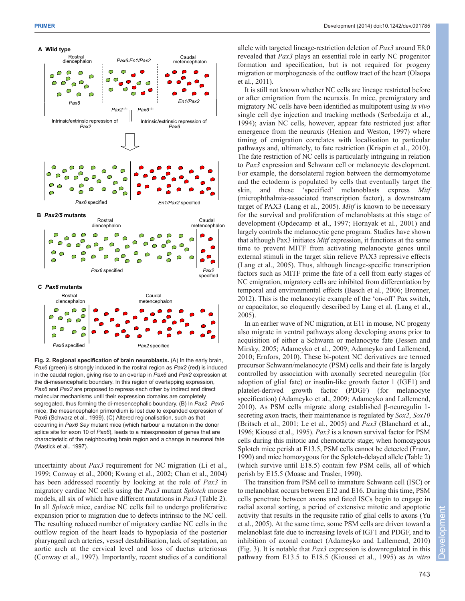

**Fig. 2. Regional specification of brain neuroblasts.** (A) In the early brain, *Pax6* (green) is strongly induced in the rostral region as *Pax2* (red) is induced in the caudal region, giving rise to an overlap in *Pax6* and *Pax2* expression at the di-mesencephalic boundary. In this region of overlapping expression, *Pax6* and *Pax2* are proposed to repress each other by indirect and direct molecular mechanisms until their expression domains are completely segregated, thus forming the di-mesencephalic boundary. (B) In *Pax2*– *Pax5*– mice, the mesencephalon primordium is lost due to expanded expression of Pax6 (Schwarz et al., 1999). (C) Altered regionalisation, such as that occurring in *Pax6 Sey* mutant mice (which harbour a mutation in the donor splice site for exon 10 of *Pax6*), leads to a misexpression of genes that are characteristic of the neighbouring brain region and a change in neuronal fate (Mastick et al., 1997).

uncertainty about *Pax3* requirement for NC migration (Li et al., 1999; Conway et al., 2000; Kwang et al., 2002; Chan et al., 2004) has been addressed recently by looking at the role of *Pax3* in migratory cardiac NC cells using the *Pax3* mutant *Splotch* mouse models, all six of which have different mutations in *Pax3* (Table 2). In all *Splotch* mice, cardiac NC cells fail to undergo proliferative expansion prior to migration due to defects intrinsic to the NC cell. The resulting reduced number of migratory cardiac NC cells in the outflow region of the heart leads to hypoplasia of the posterior pharyngeal arch arteries, vessel destabilisation, lack of septation, an aortic arch at the cervical level and loss of ductus arteriosus (Conway et al., 1997). Importantly, recent studies of a conditional allele with targeted lineage-restriction deletion of *Pax3* around E8.0 revealed that *Pax3* plays an essential role in early NC progenitor formation and specification, but is not required for progeny migration or morphogenesis of the outflow tract of the heart (Olaopa et al., 2011).

It is still not known whether NC cells are lineage restricted before or after emigration from the neuraxis. In mice, premigratory and migratory NC cells have been identified as multipotent using *in vivo* single cell dye injection and tracking methods (Serbedzija et al., 1994); avian NC cells, however, appear fate restricted just after emergence from the neuraxis (Henion and Weston, 1997) where timing of emigration correlates with localisation to particular pathways and, ultimately, to fate restriction (Krispin et al., 2010). The fate restriction of NC cells is particularly intriguing in relation to *Pax3* expression and Schwann cell or melanocyte development. For example, the dorsolateral region between the dermomyotome and the ectoderm is populated by cells that eventually target the skin, and these 'specified' melanoblasts express *Mitf* (microphthalmia-associated transcription factor), a downstream target of PAX3 (Lang et al., 2005). *Mitf* is known to be necessary for the survival and proliferation of melanoblasts at this stage of development (Opdecamp et al., 1997; Hornyak et al., 2001) and largely controls the melanocytic gene program. Studies have shown that although Pax3 initiates *Mitf* expression, it functions at the same time to prevent MITF from activating melanocyte genes until external stimuli in the target skin relieve PAX3 repressive effects (Lang et al., 2005). Thus, although lineage-specific transcription factors such as MITF prime the fate of a cell from early stages of NC emigration, migratory cells are inhibited from differentiation by temporal and environmental effects (Basch et al., 2006; Bronner, 2012). This is the melanocytic example of the 'on-off' Pax switch, or capacitator, so eloquently described by Lang et al. (Lang et al., 2005).

In an earlier wave of NC migration, at E11 in mouse, NC progeny also migrate in ventral pathways along developing axons prior to acquisition of either a Schwann or melanocyte fate (Jessen and Mirsky, 2005; Adameyko et al., 2009; Adameyko and Lallemend, 2010; Ernfors, 2010). These bi-potent NC derivatives are termed precursor Schwann/melanocyte (PSM) cells and their fate is largely controlled by association with axonally secreted neuregulin (for adoption of glial fate) or insulin-like growth factor 1 (IGF1) and platelet-derived growth factor (PDGF) (for melanocyte specification) (Adameyko et al., 2009; Adameyko and Lallemend, 2010). As PSM cells migrate along established β-neuregulin 1 secreting axon tracts, their maintenance is regulated by *Sox2*, *Sox10* (Britsch et al., 2001; Le et al., 2005) and *Pax3* (Blanchard et al., 1996; Kioussi et al., 1995). *Pax3* is a known survival factor for PSM cells during this mitotic and chemotactic stage; when homozygous Splotch mice perish at E13.5, PSM cells cannot be detected (Franz, 1990) and mice homozygous for the Splotch-delayed allele (Table 2) (which survive until E18.5) contain few PSM cells, all of which perish by E15.5 (Moase and Trasler, 1990).

The transition from PSM cell to immature Schwann cell (ISC) or to melanoblast occurs between E12 and E16. During this time, PSM cells penetrate between axons and fated ISCs begin to engage in radial axonal sorting, a period of extensive mitotic and apoptotic activity that results in the requisite ratio of glial cells to axons (Yu et al., 2005). At the same time, some PSM cells are driven toward a melanoblast fate due to increasing levels of IGF1 and PDGF, and to inhibition of axonal contact (Adameyko and Lallemend, 2010) (Fig. 3). It is notable that *Pax3* expression is downregulated in this pathway from E13.5 to E18.5 (Kioussi et al., 1995) as *in vitro*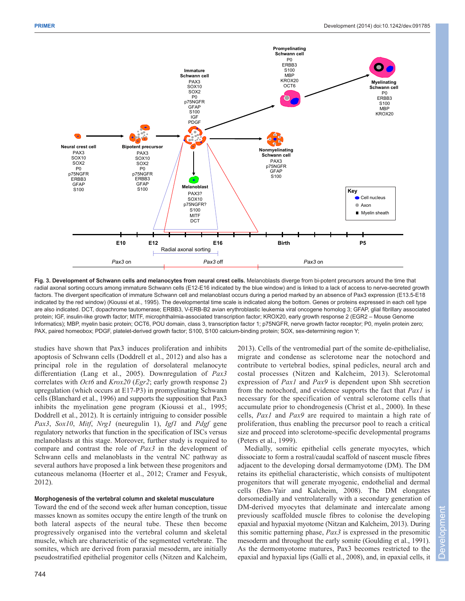

**Fig. 3. Development of Schwann cells and melanocytes from neural crest cells.** Melanoblasts diverge from bi-potent precursors around the time that radial axonal sorting occurs among immature Schwann cells (E12-E16 indicated by the blue window) and is linked to a lack of access to nerve-secreted growth factors. The divergent specification of immature Schwann cell and melanoblast occurs during a period marked by an absence of Pax3 expression (E13.5-E18 indicated by the red window) (Kioussi et al., 1995). The developmental time scale is indicated along the bottom. Genes or proteins expressed in each cell type are also indicated. DCT, dopachrome tautomerase; ERBB3, V-ERB-B2 avian erythroblastic leukemia viral oncogene homolog 3; GFAP, glial fibrillary associated protein; IGF, insulin-like growth factor; MITF, microphthalmia-associated transcription factor; KROX20, early growth response 2 (EGR2 – Mouse Genome Informatics); MBP, myelin basic protein; OCT6, POU domain, class 3, transcription factor 1; p75NGFR, nerve growth factor receptor; P0, myelin protein zero; PAX, paired homeobox; PDGF, platelet-derived growth factor; S100, S100 calcium-binding protein; SOX, sex-determining region Y;

studies have shown that Pax3 induces proliferation and inhibits apoptosis of Schwann cells (Doddrell et al., 2012) and also has a principal role in the regulation of dorsolateral melanocyte differentiation (Lang et al., 2005). Downregulation of *Pax3* correlates with *Oct6* and *Krox20* (*Egr2*; early growth response 2) upregulation (which occurs at E17-P3) in promyelinating Schwann cells (Blanchard et al., 1996) and supports the supposition that Pax3 inhibits the myelination gene program (Kioussi et al., 1995; Doddrell et al., 2012). It is certainly intriguing to consider possible *Pax3*, *Sox10*, *Mitf*, *Nrg1* (neuregulin 1), *Igf1* and *Pdgf* gene regulatory networks that function in the specification of ISCs versus melanoblasts at this stage. Moreover, further study is required to compare and contrast the role of *Pax3* in the development of Schwann cells and melanoblasts in the ventral NC pathway as several authors have proposed a link between these progenitors and cutaneous melanoma (Hoerter et al., 2012; Cramer and Fesyuk, 2012).

### **Morphogenesis of the vertebral column and skeletal musculature**

Toward the end of the second week after human conception, tissue masses known as somites occupy the entire length of the trunk on both lateral aspects of the neural tube. These then become progressively organised into the vertebral column and skeletal muscle, which are characteristic of the segmented vertebrate. The somites, which are derived from paraxial mesoderm, are initially pseudostratified epithelial progenitor cells (Nitzen and Kalcheim, 2013). Cells of the ventromedial part of the somite de-epithelialise, migrate and condense as sclerotome near the notochord and contribute to vertebral bodies, spinal pedicles, neural arch and costal processes (Nitzen and Kalcheim, 2013). Sclerotomal expression of *Pax1* and *Pax9* is dependent upon Shh secretion from the notochord, and evidence supports the fact that *Pax1* is necessary for the specification of ventral sclerotome cells that accumulate prior to chondrogenesis (Christ et al., 2000). In these cells, *Pax1* and *Pax9* are required to maintain a high rate of proliferation, thus enabling the precursor pool to reach a critical size and proceed into sclerotome-specific developmental programs (Peters et al., 1999).

Medially, somitic epithelial cells generate myocytes, which dissociate to form a rostral/caudal scaffold of nascent muscle fibres adjacent to the developing dorsal dermamyotome (DM). The DM retains its epithelial characteristic, which consists of multipotent progenitors that will generate myogenic, endothelial and dermal cells (Ben-Yair and Kalcheim, 2008). The DM elongates dorsomedially and ventrolaterally with a secondary generation of DM-derived myocytes that delaminate and intercalate among previously scaffolded muscle fibres to colonise the developing epaxial and hypaxial myotome (Nitzan and Kalcheim, 2013). During this somitic patterning phase, *Pax3* is expressed in the presomitic mesoderm and throughout the early somite (Goulding et al., 1991). As the dermomyotome matures, Pax3 becomes restricted to the epaxial and hypaxial lips (Galli et al., 2008), and, in epaxial cells, it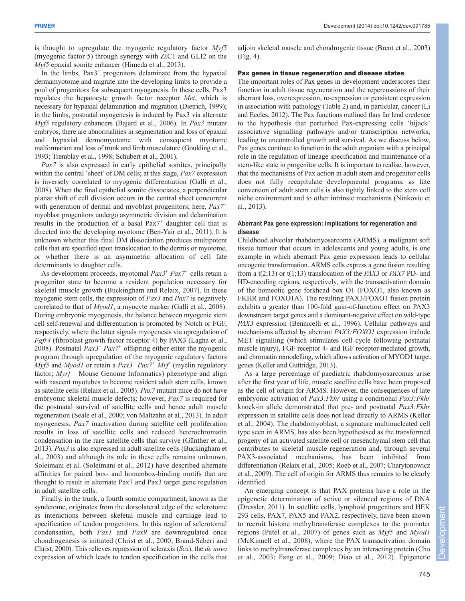is thought to upregulate the myogenic regulatory factor *Myf5* (myogenic factor 5) through synergy with ZIC1 and GLI2 on the *Myf5* epaxial somite enhancer (Himeda et al., 2013).

In the limbs,  $Pax3$ <sup>+</sup> progenitors delaminate from the hypaxial dermamyotome and migrate into the developing limbs to provide a pool of progenitors for subsequent myogenesis. In these cells, Pax3 regulates the hepatocyte growth factor receptor *Met*, which is necessary for hypaxial delamination and migration (Dietrich, 1999); in the limbs, postnatal myogenesis is induced by Pax3 via alternate *Myf5* regulatory enhancers (Bajard et al., 2006). In *Pax3* mutant embryos, there are abnormalities in segmentation and loss of epaxial and hypaxial dermomyotome with consequent myotome malformation and loss of trunk and limb musculature (Goulding et al., 1993; Tremblay et al., 1998; Schubert et al., 2001).

*Pax7* is also expressed in early epithelial somites, principally within the central 'sheet' of DM cells; at this stage, *Pax7* expression is inversely correlated to myogenic differentiation (Galli et al., 2008). When the final epithelial somite dissociates, a perpendicular planar shift of cell division occurs in the central sheet concurrent with generation of dermal and myoblast progenitors; here, *Pax7<sup>+</sup>* myoblast progenitors undergo asymmetric division and delamination results in the production of a basal  $Pax7$ <sup>+</sup> daughter cell that is directed into the developing myotome (Ben-Yair et al., 2011). It is unknown whether this final DM dissociation produces multipotent cells that are specified upon translocation to the dermis or myotome, or whether there is an asymmetric allocation of cell fate determinants to daughter cells.

As development proceeds, myotomal *Pax3*<sup>+</sup> *Pax7+* cells retain a progenitor state to become a resident population necessary for skeletal muscle growth (Buckingham and Relaix, 2007). In these myogenic stem cells, the expression of *Pax3* and *Pax7* is negatively correlated to that of *Myod1*, a myocyte marker (Galli et al., 2008). During embryonic myogenesis, the balance between myogenic stem cell self-renewal and differentiation is promoted by Notch or FGF, respectively, where the latter signals myogenesis via upregulation of *Fgfr4* (fibroblast growth factor receptor 4) by PAX3 (Lagha et al., 2008). Postnatal *Pax3*<sup>+</sup> *Pax7<sup>+</sup>* offspring either enter the myogenic program through upregulation of the myogenic regulatory factors *Myf5* and *Myod1* or retain a *Pax3*<sup>+</sup> *Pax7+ Mrf–* (myelin regulatory factor; *Myrf* – Mouse Genome Informatics) phenotype and align with nascent myotubes to become resident adult stem cells, known as satellite cells (Relaix et al., 2005). *Pax7* mutant mice do not have embryonic skeletal muscle defects; however, *Pax7* is required for the postnatal survival of satellite cells and hence adult muscle regeneration (Seale et al., 2000; von Maltzahn et al., 2013). In adult myogenesis, *Pax7* inactivation during satellite cell proliferation results in loss of satellite cells and reduced heterochromatin condensation in the rare satellite cells that survive (Günther et al., 2013). *Pax3* is also expressed in adult satellite cells (Buckingham et al., 2003) and although its role in these cells remains unknown, Soleimani et al. (Soleimani et al., 2012) have described alternate affinities for paired box- and homeobox-binding motifs that are thought to result in alternate Pax7 and Pax3 target gene regulation in adult satellite cells.

Finally, in the trunk, a fourth somitic compartment, known as the syndetome, originates from the dorsolateral edge of the sclerotome as interactions between skeletal muscle and cartilage lead to specification of tendon progenitors. In this region of sclerotomal condensation, both *Pax1* and *Pax9* are downregulated once chondrogenesis is initiated (Christ et al., 2000; Brand-Saberi and Christ, 2000). This relieves repression of scleraxis (*Scx*), the *de novo* expression of which leads to tendon specification in the cells that adjoin skeletal muscle and chondrogenic tissue (Brent et al., 2003) (Fig. 4).

### Pax genes in tissue regeneration and disease states

The important roles of Pax genes in development underscores their function in adult tissue regeneration and the repercussions of their aberrant loss, overexpression, re-expression or persistent expression in association with pathology (Table 2) and, in particular, cancer (Li and Eccles, 2012). The Pax functions outlined thus far lend credence to the hypothesis that perturbed Pax-expressing cells 'hijack' associative signalling pathways and/or transcription networks, leading to uncontrolled growth and survival. As we discuss below, Pax genes continue to function in the adult organism with a principal role in the regulation of lineage specification and maintenance of a stem-like state in progenitor cells. It is important to realise, however, that the mechanisms of Pax action in adult stem and progenitor cells does not fully recapitulate developmental programs, as fate conversion of adult stem cells is also tightly linked to the stem cell niche environment and to other intrinsic mechanisms (Ninkovic et al., 2013).

## **Aberrant Pax gene expression: implications for regeneration and disease**

Childhood alveolar rhabdomyosarcoma (ARMS), a malignant soft tissue tumour that occurs in adolescents and young adults, is one example in which aberrant Pax gene expression leads to cellular oncogenic transformation. ARMS cells express a gene fusion resulting from a t(2;13) or t(1;13) translocation of the *PAX3* or *PAX7* PD- and HD-encoding regions, respectively, with the transactivation domain of the homeotic gene forkhead box O1 (FOXO1, also known as FKHR and FOXO1A)*.* The resulting PAX3/FOXO1 fusion protein exhibits a greater than 100-fold gain-of-function effect on PAX3 downstream target genes and a dominant-negative effect on wild-type *PAX3* expression (Bennicelli et al., 1996). Cellular pathways and mechanisms affected by aberrant *PAX3:FOXO1* expression include MET signalling (which stimulates cell cycle following postnatal muscle injury), FGF receptor 4- and IGF receptor-mediated growth, and chromatin remodelling, which allows activation of MYOD1 target genes (Keller and Guttridge, 2013).

As a large percentage of paediatric rhabdomyosarcomas arise after the first year of life, muscle satellite cells have been proposed as the cell of origin for ARMS. However, the consequences of late embryonic activation of *Pax3:Fkhr* using a conditional *Pax3:Fkhr* knock-in allele demonstrated that pre- and postnatal *Pax3:Fkhr* expression in satellite cells does not lead directly to ARMS (Keller et al., 2004). The rhabdomyoblast, a signature multinucleated cell type seen in ARMS, has also been hypothesised as the transformed progeny of an activated satellite cell or mesenchymal stem cell that contributes to skeletal muscle regeneration and, through several PAX3-associated mechanisms, has been inhibited from differentiation (Relaix et al., 2005; Roeb et al., 2007; Charytonowicz et al., 2009). The cell of origin for ARMS thus remains to be clearly identified.

An emerging concept is that PAX proteins have a role in the epigenetic determination of active or silenced regions of DNA (Dressler, 2011). In satellite cells, lymphoid progenitors and HEK 293 cells, PAX7, PAX5 and PAX2, respectively, have been shown to recruit histone methyltransferase complexes to the promoter regions (Patel et al., 2007) of genes such as *Myf5* and *Myod1* (McKinnell et al., 2008), where the PAX transactivation domain links to methyltransferase complexes by an interacting protein (Cho et al., 2003; Fang et al., 2009; Diao et al., 2012). Epigenetic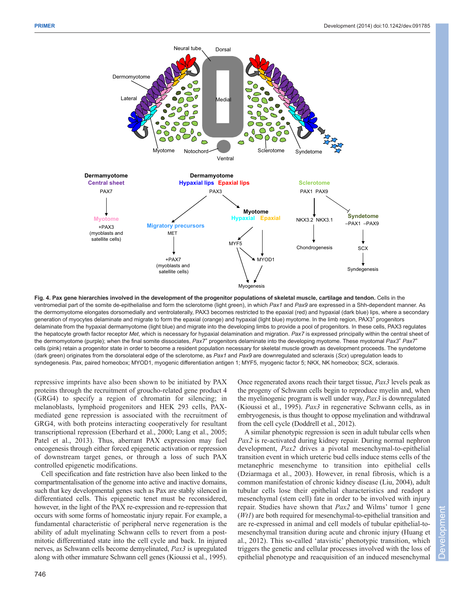

**Fig. 4. Pax gene hierarchies involved in the development of the progenitor populations of skeletal muscle, cartilage and tendon.** Cells in the ventromedial part of the somite de-epithelialise and form the sclerotome (light green), in which *Pax1* and *Pax9* are expressed in a Shh-dependent manner. As the dermomyotome elongates dorsomedially and ventrolaterally, PAX3 becomes restricted to the epaxial (red) and hypaxial (dark blue) lips, where a secondary generation of myocytes delaminate and migrate to form the epaxial (orange) and hypaxial (light blue) myotome. In the limb region, PAX3+ progenitors delaminate from the hypaxial dermamyotome (light blue) and migrate into the developing limbs to provide a pool of progenitors. In these cells, PAX3 regulates the hepatocyte growth factor receptor *Met*, which is necessary for hypaxial delamination and migration. *Pax7* is expressed principally within the central sheet of the dermomyotome (purple); when the final somite dissociates, *Pax7+* progenitors delaminate into the developing myotome. These myotomal *Pax3*<sup>+</sup> *Pax7+* cells (pink) retain a progenitor state in order to become a resident population necessary for skeletal muscle growth as development proceeds. The syndetome (dark green) originates from the dorsolateral edge of the sclerotome, as *Pax1* and *Pax9* are downregulated and scleraxis (*Scx*) upregulation leads to syndegenesis. Pax, paired homeobox; MYOD1, myogenic differentiation antigen 1; MYF5, myogenic factor 5; NKX, NK homeobox; SCX, scleraxis.

repressive imprints have also been shown to be initiated by PAX proteins through the recruitment of groucho-related gene product 4 (GRG4) to specify a region of chromatin for silencing; in melanoblasts, lymphoid progenitors and HEK 293 cells, PAXmediated gene repression is associated with the recruitment of GRG4, with both proteins interacting cooperatively for resultant transcriptional repression (Eberhard et al., 2000; Lang et al., 2005; Patel et al., 2013). Thus, aberrant PAX expression may fuel oncogenesis through either forced epigenetic activation or repression of downstream target genes, or through a loss of such PAX controlled epigenetic modifications.

Cell specification and fate restriction have also been linked to the compartmentalisation of the genome into active and inactive domains, such that key developmental genes such as Pax are stably silenced in differentiated cells. This epigenetic tenet must be reconsidered, however, in the light of the PAX re-expression and re-repression that occurs with some forms of homeostatic injury repair. For example, a fundamental characteristic of peripheral nerve regeneration is the ability of adult myelinating Schwann cells to revert from a postmitotic differentiated state into the cell cycle and back. In injured nerves, as Schwann cells become demyelinated, *Pax3* is upregulated along with other immature Schwann cell genes (Kioussi et al., 1995).

Once regenerated axons reach their target tissue, *Pax3* levels peak as the progeny of Schwann cells begin to reproduce myelin and, when the myelinogenic program is well under way, *Pax3* is downregulated (Kioussi et al., 1995). *Pax3* in regenerative Schwann cells, as in embryogenesis, is thus thought to oppose myelination and withdrawal from the cell cycle (Doddrell et al., 2012).

A similar phenotypic regression is seen in adult tubular cells when *Pax2* is re-activated during kidney repair. During normal nephron development, *Pax2* drives a pivotal mesenchymal-to-epithelial transition event in which ureteric bud cells induce stems cells of the metanephric mesenchyme to transition into epithelial cells (Dziarmaga et al., 2003). However, in renal fibrosis, which is a common manifestation of chronic kidney disease (Liu, 2004), adult tubular cells lose their epithelial characteristics and readopt a mesenchymal (stem cell) fate in order to be involved with injury repair. Studies have shown that *Pax2* and Wilms' tumor 1 gene (*Wt1*) are both required for mesenchymal-to-epithelial transition and are re-expressed in animal and cell models of tubular epithelial-tomesenchymal transition during acute and chronic injury (Huang et al., 2012). This so-called 'atavistic' phenotypic transition, which triggers the genetic and cellular processes involved with the loss of epithelial phenotype and reacquisition of an induced mesenchymal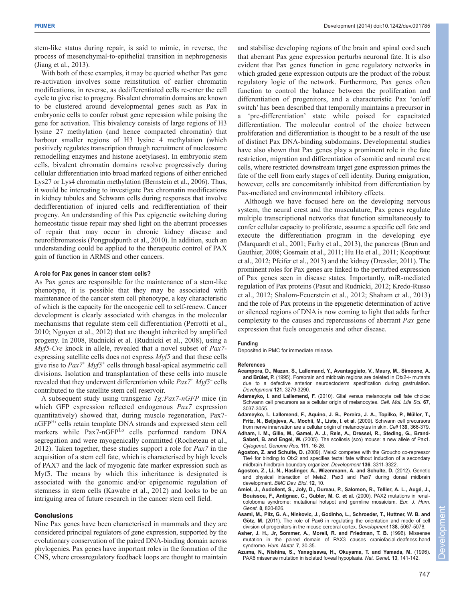stem-like status during repair, is said to mimic, in reverse, the process of mesenchymal-to-epithelial transition in nephrogenesis (Jiang et al., 2013).

With both of these examples, it may be queried whether Pax gene re-activation involves some reinstitution of earlier chromatin modifications, in reverse, as dedifferentiated cells re-enter the cell cycle to give rise to progeny. Bivalent chromatin domains are known to be clustered around developmental genes such as Pax in embryonic cells to confer robust gene repression while poising the gene for activation. This bivalency consists of large regions of H3 lysine 27 methylation (and hence compacted chromatin) that harbour smaller regions of H3 lysine 4 methylation (which positively regulates transcription through recruitment of nucleosome remodelling enzymes and histone acetylases). In embryonic stem cells, bivalent chromatin domains resolve progressively during cellular differentiation into broad marked regions of either enriched Lys27 or Lys4 chromatin methylation (Bernstein et al., 2006). Thus, it would be interesting to investigate Pax chromatin modifications in kidney tubules and Schwann cells during responses that involve dedifferentiation of injured cells and redifferentiation of their progeny. An understanding of this Pax epigenetic switching during homeostatic tissue repair may shed light on the aberrant processes of repair that may occur in chronic kidney disease and neurofibromatosis (Pongpudpunth et al., 2010). In addition, such an understanding could be applied to the therapeutic control of PAX gain of function in ARMS and other cancers.

## **A role for Pax genes in cancer stem cells?**

As Pax genes are responsible for the maintenance of a stem-like phenotype, it is possible that they may be associated with maintenance of the cancer stem cell phenotype, a key characteristic of which is the capacity for the oncogenic cell to self-renew. Cancer development is clearly associated with changes in the molecular mechanisms that regulate stem cell differentiation (Perrotti et al., 2010; Nguyen et al., 2012) that are thought inherited by amplified progeny. In 2008, Rudnicki et al. (Rudnicki et al., 2008), using a *Myf5-Cre* knock in allele, revealed that a novel subset of *Pax7* expressing satellite cells does not express *Myf5* and that these cells give rise to *Pax7+ Myf5+* cells through basal-apical asymmetric cell divisions. Isolation and transplantation of these cells into muscle revealed that they underwent differentiation while *Pax7+ Myf5–* cells contributed to the satellite stem cell reservoir.

A subsequent study using transgenic *Tg:Pax7-nGFP* mice (in which GFP expression reflected endogenous *Pax7* expression quantitatively) showed that, during muscle regeneration, Pax7 nGFPHi cells retain template DNA strands and expressed stem cell markers while Pax7-nGFP<sup>Lo</sup> cells performed random DNA segregation and were myogenically committed (Rocheteau et al., 2012). Taken together, these studies support a role for *Pax7* in the acquisition of a stem cell fate, which is characterised by high levels of PAX7 and the lack of myogenic fate marker expression such as Myf5. The means by which this inheritance is designated is associated with the genomic and/or epigenomic regulation of stemness in stem cells (Kawabe et al., 2012) and looks to be an intriguing area of future research in the cancer stem cell field.

## **Conclusions**

Nine Pax genes have been characterised in mammals and they are considered principal regulators of gene expression, supported by the evolutionary conservation of the paired DNA-binding domain across phylogenies. Pax genes have important roles in the formation of the CNS, where crossregulatory feedback loops are thought to maintain and stabilise developing regions of the brain and spinal cord such that aberrant Pax gene expression perturbs neuronal fate. It is also evident that Pax genes function in gene regulatory networks in which graded gene expression outputs are the product of the robust regulatory logic of the network. Furthermore, Pax genes often function to control the balance between the proliferation and differentiation of progenitors, and a characteristic Pax 'on/off switch' has been described that temporally maintains a precursor in a 'pre-differentiation' state while poised for capacitated differentiation. The molecular control of the choice between proliferation and differentiation is thought to be a result of the use of distinct Pax DNA-binding subdomains. Developmental studies have also shown that Pax genes play a prominent role in the fate restriction, migration and differentiation of somitic and neural crest cells, where restricted downstream target gene expression primes the fate of the cell from early stages of cell identity. During emigration, however, cells are concomitantly inhibited from differentiation by Pax-mediated and environmental inhibitory effects.

Although we have focused here on the developing nervous system, the neural crest and the musculature, Pax genes regulate multiple transcriptional networks that function simultaneously to confer cellular capacity to proliferate, assume a specific cell fate and execute the differentiation program in the developing eye (Marquardt et al., 2001; Farhy et al., 2013), the pancreas (Brun and Gauthier, 2008; Gosmain et al., 2011; Hu He et al., 2011; Kooptiwut et al., 2012; Pfeifer et al., 2013) and the kidney (Dressler, 2011). The prominent roles for Pax genes are linked to the perturbed expression of Pax genes seen in disease states. Importantly, miR-mediated regulation of Pax proteins (Pasut and Rudnicki, 2012; Kredo-Russo et al., 2012; Shalom-Feuerstein et al., 2012; Shaham et al., 2013) and the role of Pax proteins in the epigenetic determination of active or silenced regions of DNA is now coming to light that adds further complexity to the causes and repercussions of aberrant *Pax* gene expression that fuels oncogenesis and other disease.

#### **Funding**

Deposited in PMC for immediate release.

#### **References**

- **Acampora, D., Mazan, S., Lallemand, Y., Avantaggiato, V., Maury, M., Simeone, A. and Brûlet, P.** (1995). Forebrain and midbrain regions are deleted in Otx2-/- mutants due to a defective anterior neuroectoderm specification during gastrulation. *Development* **121**, 3279-3290.
- **Adameyko, I. and Lallemend, F.** (2010). Glial versus melanocyte cell fate choice: Schwann cell precursors as a cellular origin of melanocytes. *Cell. Mol. Life Sci.* **67**, 3037-3055.
- **Adameyko, I., Lallemend, F., Aquino, J. B., Pereira, J. A., Topilko, P., Müller, T., Fritz, N., Beljajeva, A., Mochii, M., Liste, I. et al.** (2009). Schwann cell precursors from nerve innervation are a cellular origin of melanocytes in skin. *Cell* **139**, 366-379.
- **Adham, I. M., Gille, M., Gamel, A. J., Reis, A., Dressel, R., Steding, G., Brand-Saberi, B. and Engel, W.** (2005). The scoliosis (sco) mouse: a new allele of Pax1. *Cytogenet. Genome Res.* **111**, 16-26.
- **Agoston, Z. and Schulte, D.** (2009). Meis2 competes with the Groucho co-repressor Tle4 for binding to Otx2 and specifies tectal fate without induction of a secondary midbrain-hindbrain boundary organizer. *Development* **136**, 3311-3322.
- **Agoston, Z., Li, N., Haslinger, A., Wizenmann, A. and Schulte, D.** (2012). Genetic and physical interaction of Meis2, Pax3 and Pax7 during dorsal midbrain development. *BMC Dev. Biol.* **12**, 10.
- **Amiel, J., Audollent, S., Joly, D., Dureau, P., Salomon, R., Tellier, A. L., Augé, J., Bouissou, F., Antignac, C., Gubler, M. C. et al.** (2000). PAX2 mutations in renalcoloboma syndrome: mutational hotspot and germline mosaicism. *Eur. J. Hum. Genet.* **8**, 820-826.
- **Asami, M., Pilz, G. A., Ninkovic, J., Godinho, L., Schroeder, T., Huttner, W. B. and Götz, M.** (2011). The role of Pax6 in regulating the orientation and mode of cell division of progenitors in the mouse cerebral cortex. *Development* **138**, 5067-5078.
- **Asher, J. H., Jr, Sommer, A., Morell, R. and Friedman, T. B.** (1996). Missense mutation in the paired domain of PAX3 causes craniofacial-deafness-hand syndrome. *Hum. Mutat.* **7**, 30-35.
- **Azuma, N., Nishina, S., Yanagisawa, H., Okuyama, T. and Yamada, M.** (1996). PAX6 missense mutation in isolated foveal hypoplasia. *Nat. Genet.* **13**, 141-142.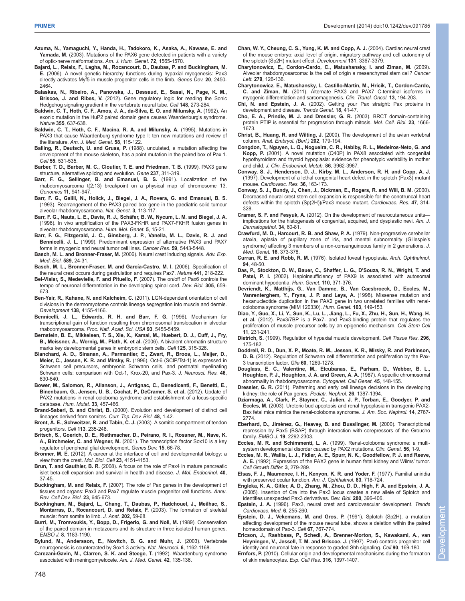- **Azuma, N., Yamaguchi, Y., Handa, H., Tadokoro, K., Asaka, A., Kawase, E. and Yamada, M.** (2003). Mutations of the PAX6 gene detected in patients with a variety of optic-nerve malformations. *Am. J. Hum. Genet.* **72**, 1565-1570.
- **Bajard, L., Relaix, F., Lagha, M., Rocancourt, D., Daubas, P. and Buckingham, M. E.** (2006). A novel genetic hierarchy functions during hypaxial myogenesis: Pax3 directly activates Myf5 in muscle progenitor cells in the limb. *Genes Dev.* **20**, 2450- 2464.
- **Balaskas, N., Ribeiro, A., Panovska, J., Dessaud, E., Sasai, N., Page, K. M., Briscoe, J. and Ribes, V.** (2012). Gene regulatory logic for reading the Sonic Hedgehog signaling gradient in the vertebrate neural tube. *Cell* **148**, 273-284.
- **Baldwin, C. T., Hoth, C. F., Amos, J. A., da-Silva, E. O. and Milunsky, A.** (1992). An exonic mutation in the HuP2 paired domain gene causes Waardenburg's syndrome. *Nature* **355**, 637-638.
- **Baldwin, C. T., Hoth, C. F., Macina, R. A. and Milunsky, A.** (1995). Mutations in PAX3 that cause Waardenburg syndrome type I: ten new mutations and review of the literature. *Am. J. Med. Genet.* **58**, 115-122.
- **Balling, R., Deutsch, U. and Gruss, P.** (1988). undulated, a mutation affecting the development of the mouse skeleton, has a point mutation in the paired box of Pax 1. *Cell* **55**, 531-535.
- **Barber, T. D., Barber, M. C., Cloutier, T. E. and Friedman, T. B.** (1999). PAX3 gene structure, alternative splicing and evolution. *Gene* **237**, 311-319.
- **Barr, F. G., Sellinger, B. and Emanuel, B. S.** (1991). Localization of the rhabdomyosarcoma t(2;13) breakpoint on a physical map of chromosome 13. *Genomics* **11**, 941-947.
- **Barr, F. G., Galili, N., Holick, J., Biegel, J. A., Rovera, G. and Emanuel, B. S.** (1993). Rearrangement of the PAX3 paired box gene in the paediatric solid tumour alveolar rhabdomyosarcoma. *Nat. Genet.* **3**, 113-117.
- **Barr, F. G., Nauta, L. E., Davis, R. J., Schäfer, B. W., Nycum, L. M. and Biegel, J. A.** (1996). In vivo amplification of the PAX3-FKHR and PAX7-FKHR fusion genes in alveolar rhabdomyosarcoma. *Hum. Mol. Genet.* **5**, 15-21.
- **Barr, F. G., Fitzgerald, J. C., Ginsberg, J. P., Vanella, M. L., Davis, R. J. and Bennicelli, J. L.** (1999). Predominant expression of alternative PAX3 and PAX7 forms in myogenic and neural tumor cell lines. *Cancer Res.* **59**, 5443-5448.
- **Basch, M. L. and Bronner-Fraser, M.** (2006). Neural crest inducing signals. *Adv. Exp. Med. Biol.* **589**, 24-31.
- **Basch, M. L., Bronner-Fraser, M. and García-Castro, M. I.** (2006). Specification of the neural crest occurs during gastrulation and requires Pax7. *Nature* **441**, 218-222.
- **Bel-Vialar, S., Medevielle, F. and Pituello, F.** (2007). The on/off of Pax6 controls the tempo of neuronal differentiation in the developing spinal cord. *Dev. Biol.* **305**, 659- 673.
- **Ben-Yair, R., Kahane, N. and Kalcheim, C.** (2011). LGN-dependent orientation of cell divisions in the dermomyotome controls lineage segregation into muscle and dermis. *Development* **138**, 4155-4166.
- **Bennicelli, J. L., Edwards, R. H. and Barr, F. G.** (1996). Mechanism for transcriptional gain of function resulting from chromosomal translocation in alveolar rhabdomyosarcoma. *Proc. Natl. Acad. Sci. USA* **93**, 5455-5459.
- **Bernstein, B. E., Mikkelsen, T. S., Xie, X., Kamal, M., Huebert, D. J., Cuff, J., Fry, B., Meissner, A., Wernig, M., Plath, K. et al.** (2006). A bivalent chromatin structure marks key developmental genes in embryonic stem cells. *Cell* **125**, 315-326.
- **Blanchard, A. D., Sinanan, A., Parmantier, E., Zwart, R., Broos, L., Meijer, D., Meier, C., Jessen, K. R. and Mirsky, R.** (1996). Oct-6 (SCIP/Tst-1) is expressed in Schwann cell precursors, embryonic Schwann cells, and postnatal myelinating Schwann cells: comparison with Oct-1, Krox-20, and Pax-3. *J. Neurosci. Res.* **46**, 630-640.
- **Bower, M., Salomon, R., Allanson, J., Antignac, C., Benedicenti, F., Benetti, E., Binenbaum, G., Jensen, U. B., Cochat, P., DeCramer, S. et al.** (2012). Update of PAX2 mutations in renal coloboma syndrome and establishment of a locus-specific database. *Hum. Mutat.* **33**, 457-466.
- **Brand-Saberi, B. and Christ, B.** (2000). Evolution and development of distinct cell lineages derived from somites. *Curr. Top. Dev. Biol.* **48**, 1-42.
- **Brent, A. E., Schweitzer, R. and Tabin, C. J.** (2003). A somitic compartment of tendon progenitors. *Cell* **113**, 235-248.
- **Britsch, S., Goerich, D. E., Riethmacher, D., Peirano, R. I., Rossner, M., Nave, K. A., Birchmeier, C. and Wegner, M.** (2001). The transcription factor Sox10 is a key regulator of peripheral glial development. *Genes Dev.* **15**, 66-78.
- **Bronner, M. E.** (2012). A career at the interface of cell and developmental biology: a view from the crest. *Mol. Biol. Cell* **23**, 4151-4153.
- **Brun, T. and Gauthier, B. R.** (2008). A focus on the role of Pax4 in mature pancreatic islet beta-cell expansion and survival in health and disease. *J. Mol. Endocrinol.* **40**, 37-45.
- **Buckingham, M. and Relaix, F.** (2007). The role of Pax genes in the development of tissues and organs: Pax3 and Pax7 regulate muscle progenitor cell functions. *Annu. Rev. Cell Dev. Biol.* **23**, 645-673.
- **Buckingham, M., Bajard, L., Chang, T., Daubas, P., Hadchouel, J., Meilhac, S., Montarras, D., Rocancourt, D. and Relaix, F.** (2003). The formation of skeletal muscle: from somite to limb. *J. Anat.* **202**, 59-68.
- **Burri, M., Tromvoukis, Y., Bopp, D., Frigerio, G. and Noll, M.** (1989). Conservation of the paired domain in metazoans and its structure in three isolated human genes. *EMBO J.* **8**, 1183-1190.
- **Bylund, M., Andersson, E., Novitch, B. G. and Muhr, J.** (2003). Vertebrate neurogenesis is counteracted by Sox1-3 activity. *Nat. Neurosci.* **6**, 1162-1168.
- **Carezani-Gavin, M., Clarren, S. K. and Steege, T.** (1992). Waardenburg syndrome associated with meningomyelocele. *Am. J. Med. Genet.* **42**, 135-136.
- **Chan, W. Y., Cheung, C. S., Yung, K. M. and Copp, A. J.** (2004). Cardiac neural crest of the mouse embryo: axial level of origin, migratory pathway and cell autonomy of the splotch (Sp2H) mutant effect. *Development* **131**, 3367-3379.
- **Charytonowicz, E., Cordon-Cardo, C., Matushansky, I. and Ziman, M.** (2009). Alveolar rhabdomyosarcoma: is the cell of origin a mesenchymal stem cell? *Cancer Lett.* **279**, 126-136.
- **Charytonowicz, E., Matushansky, I., Castillo-Martin, M., Hricik, T., Cordon-Cardo, C. and Ziman, M.** (2011). Alternate PAX3 and PAX7 C-terminal isoforms in myogenic differentiation and sarcomagenesis. *Clin. Transl. Oncol.* **13**, 194-203.
- **Chi, N. and Epstein, J. A.** (2002). Getting your Pax straight: Pax proteins in development and disease. *Trends Genet.* **18**, 41-47.
- **Cho, E. A., Prindle, M. J. and Dressler, G. R.** (2003). BRCT domain-containing protein PTIP is essential for progression through mitosis. *Mol. Cell. Biol.* **23**, 1666- 1673.
- **Christ, B., Huang, R. and Wilting, J.** (2000). The development of the avian vertebral column. *Anat. Embryol. (Berl.)* **202**, 179-194.
- **Congdon, T., Nguyen, L. Q., Nogueira, C. R., Habiby, R. L., Medeiros-Neto, G. and Kopp, P.** (2001). A novel mutation (Q40P) in PAX8 associated with congenital hypothyroidism and thyroid hypoplasia: evidence for phenotypic variability in mother and child. *J. Clin. Endocrinol. Metab.* **86**, 3962-3967.
- **Conway, S. J., Henderson, D. J., Kirby, M. L., Anderson, R. H. and Copp, A. J.** (1997). Development of a lethal congenital heart defect in the splotch (Pax3) mutant mouse. *Cardiovasc. Res.* **36**, 163-173.
- **Conway, S. J., Bundy, J., Chen, J., Dickman, E., Rogers, R. and Will, B. M.** (2000). Decreased neural crest stem cell expansion is responsible for the conotruncal heart defects within the splotch (Sp(2H))/Pax3 mouse mutant. *Cardiovasc. Res.* **47**, 314- 328.
- **Cramer, S. F. and Fesyuk, A.** (2012). On the development of neurocutaneous units implications for the histogenesis of congenital, acquired, and dysplastic nevi. *Am. J. Dermatopathol.* **34**, 60-81.
- **Crawfurd, M. D., Harcourt, R. B. and Shaw, P. A.** (1979). Non-progressive cerebellar ataxia, aplasia of pupillary zone of iris, and mental subnormality (Gillespie's syndrome) affecting 3 members of a non-consanguineous family in 2 generations. *J. Med. Genet.* **16**, 373-378.
- **Curran, R. E. and Robb, R. M.** (1976). Isolated foveal hypoplasia. *Arch. Ophthalmol.* **94**, 48-50.
- **Das, P., Stockton, D. W., Bauer, C., Shaffer, L. G., D'Souza, R. N., Wright, T. and** Patel, P. I. (2002). Haploinsufficiency of PAX9 is associated with autosomal dominant hypodontia. *Hum. Genet.* **110**, 371-376.
- **Devriendt, K., Matthijs, G., Van Damme, B., Van Caesbroeck, D., Eccles, M., Vanrenterghem, Y., Fryns, J. P. and Leys, A.** (1998). Missense mutation and hexanucleotide duplication in the PAX2 gene in two unrelated families with renalcoloboma syndrome (MIM 120330). *Hum. Genet.* **103**, 149-153.
- **Diao, Y., Guo, X., Li, Y., Sun, K., Lu, L., Jiang, L., Fu, X., Zhu, H., Sun, H., Wang, H. et al.** (2012). Pax3/7BP is a Pax7- and Pax3-binding protein that regulates the proliferation of muscle precursor cells by an epigenetic mechanism. *Cell Stem Cell* **11**, 231-241.
- **Dietrich, S.** (1999). Regulation of hypaxial muscle development. *Cell Tissue Res.* **296**, 175-182.
- **Doddrell, R. D., Dun, X. P., Moate, R. M., Jessen, K. R., Mirsky, R. and Parkinson, D. B.** (2012). Regulation of Schwann cell differentiation and proliferation by the Pax-3 transcription factor. *Glia* **60**, 1269-1278.
- **Douglass, E. C., Valentine, M., Etcubanas, E., Parham, D., Webber, B. L., Houghton, P. J., Houghton, J. A. and Green, A. A.** (1987). A specific chromosomal abnormality in rhabdomyosarcoma. *Cytogenet. Cell Genet.* **45**, 148-155.
- **Dressler, G. R.** (2011). Patterning and early cell lineage decisions in the developing kidney: the role of Pax genes. *Pediatr. Nephrol.* **26**, 1387-1394.
- **Dziarmaga, A., Clark, P., Stayner, C., Julien, J. P., Torban, E., Goodyer, P. and Eccles, M.** (2003). Ureteric bud apoptosis and renal hypoplasia in transgenic PAX2- Bax fetal mice mimics the renal-coloboma syndrome. *J. Am. Soc. Nephrol.* **14**, 2767- 2774.
- **Eberhard, D., Jiménez, G., Heavey, B. and Busslinger, M.** (2000). Transcriptional repression by Pax5 (BSAP) through interaction with corepressors of the Groucho family. *EMBO J.* **19**, 2292-2303.
- **Eccles, M. R. and Schimmenti, L. A.** (1999). Renal-coloboma syndrome: a multisystem developmental disorder caused by PAX2 mutations. *Clin. Genet.* **56**, 1-9.
- **Eccles, M. R., Wallis, L. J., Fidler, A. E., Spurr, N. K., Goodfellow, P. J. and Reeve, A. E.** (1992). Expression of the PAX2 gene in human fetal kidney and Wilms' tumor. *Cell Growth Differ.* **3**, 279-289.
- **Elsas, F. J., Maumenee, I. H., Kenyon, K. R. and Yoder, F.** (1977). Familial aniridia with preserved ocular function. *Am. J. Ophthalmol.* **83**, 718-724.
- **Engleka, K. A., Gitler, A. D., Zhang, M., Zhou, D. D., High, F. A. and Epstein, J. A.** (2005). Insertion of Cre into the Pax3 locus creates a new allele of Splotch and identifies unexpected Pax3 derivatives. *Dev. Biol.* **280**, 396-406.
- **Epstein, J. A.** (1996). Pax3, neural crest and cardiovascular development. *Trends Cardiovasc. Med.* **6**, 255-260.
- **Epstein, D. J., Vekemans, M. and Gros, P.** (1991). Splotch (Sp2H), a mutation affecting development of the mouse neural tube, shows a deletion within the paired homeodomain of Pax-3. *Cell* **67**, 767-774.
- **Ericson, J., Rashbass, P., Schedl, A., Brenner-Morton, S., Kawakami, A., van Heyningen, V., Jessell, T. M. and Briscoe, J.** (1997). Pax6 controls progenitor cell identity and neuronal fate in response to graded Shh signaling. *Cell* **90**, 169-180.
- **Ernfors, P.** (2010). Cellular origin and developmental mechanisms during the formation of skin melanocytes. *Exp. Cell Res.* **316**, 1397-1407.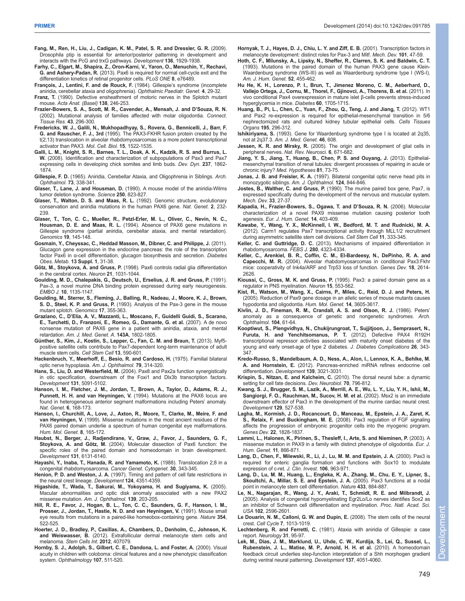- **Fang, M., Ren, H., Liu, J., Cadigan, K. M., Patel, S. R. and Dressler, G. R.** (2009). Drosophila ptip is essential for anterior/posterior patterning in development and interacts with the PcG and trxG pathways. *Development* **136**, 1929-1938.
- **Farhy, C., Elgart, M., Shapira, Z., Oron-Karni, V., Yaron, O., Menuchin, Y., Rechavi, G. and Ashery-Padan, R.** (2013). Pax6 is required for normal cell-cycle exit and the differentiation kinetics of retinal progenitor cells. *PLoS ONE* **8**, e76489.
- **François, J., Lentini, F. and de Rouck, F.** (1984). Gillespie's syndrome (incomplete aniridia, cerebellar ataxia and oligophrenia). *Ophthalmic Paediatr. Genet.* **4**, 29-32.

**Franz, T.** (1990). Defective ensheathment of motoric nerves in the Splotch mutant mouse. *Acta Anat. (Basel)* **138**, 246-253.

- **Frazier-Bowers, S. A., Scott, M. R., Cavender, A., Mensah, J. and D'Souza, R. N.** (2002). Mutational analysis of families affected with molar oligodontia. *Connect. Tissue Res.* **43**, 296-300.
- **Fredericks, W. J., Galili, N., Mukhopadhyay, S., Rovera, G., Bennicelli, J., Barr, F. G. and Rauscher, F. J., 3rd** (1995). The PAX3-FKHR fusion protein created by the t(2;13) translocation in alveolar rhabdomyosarcomas is a more potent transcriptional activator than PAX3. *Mol. Cell. Biol.* **15**, 1522-1535.
- **Galli, L. M., Knight, S. R., Barnes, T. L., Doak, A. K., Kadzik, R. S. and Burrus, L. W.** (2008). Identification and characterization of subpopulations of Pax3 and Pax7 expressing cells in developing chick somites and limb buds. *Dev. Dyn.* **237**, 1862- 1874.
- **Gillespie, F. D.** (1965). Aniridia, Cerebellar Ataxia, and Oligophrenia in Siblings. *Arch. Ophthalmol.* **73**, 338-341.
- **Glaser, T., Lane, J. and Housman, D.** (1990). A mouse model of the aniridia-Wilms tumor deletion syndrome. *Science* **250**, 823-827.
- **Glaser, T., Walton, D. S. and Maas, R. L.** (1992). Genomic structure, evolutionary conservation and aniridia mutations in the human PAX6 gene. *Nat. Genet.* **2**, 232- 239.
- **Glaser, T., Ton, C. C., Mueller, R., Petzl-Erler, M. L., Oliver, C., Nevin, N. C., Housman, D. E. and Maas, R. L.** (1994). Absence of PAX6 gene mutations in Gillespie syndrome (partial aniridia, cerebellar ataxia, and mental retardation). *Genomics* **19**, 145-148.
- **Gosmain, Y., Cheyssac, C., Heddad Masson, M., Dibner, C. and Philippe, J.** (2011). Glucagon gene expression in the endocrine pancreas: the role of the transcription factor Pax6 in α-cell differentiation, glucagon biosynthesis and secretion. *Diabetes Obes. Metab.* **13 Suppl. 1**, 31-38.
- **Götz, M., Stoykova, A. and Gruss, P.** (1998). Pax6 controls radial glia differentiation in the cerebral cortex. *Neuron* **21**, 1031-1044.
- **Goulding, M. D., Chalepakis, G., Deutsch, U., Erselius, J. R. and Gruss, P.** (1991). Pax-3, a novel murine DNA binding protein expressed during early neurogenesis. *EMBO J.* **10**, 1135-1147.
- **Goulding, M., Sterrer, S., Fleming, J., Balling, R., Nadeau, J., Moore, K. J., Brown, S. D., Steel, K. P. and Gruss, P.** (1993). Analysis of the Pax-3 gene in the mouse mutant splotch. *Genomics* **17**, 355-363.
- **Graziano, C., D'Elia, A. V., Mazzanti, L., Moscano, F., Guidelli Guidi, S., Scarano, E., Turchetti, D., Franzoni, E., Romeo, G., Damante, G. et al.** (2007). A de novo nonsense mutation of PAX6 gene in a patient with aniridia, ataxia, and mental retardation. *Am. J. Med. Genet. A.* **143A**, 1802-1805.
- **Günther, S., Kim, J., Kostin, S., Lepper, C., Fan, C. M. and Braun, T.** (2013). Myf5 positive satellite cells contribute to Pax7-dependent long-term maintenance of adult muscle stem cells. *Cell Stem Cell* **13**, 590-601.
- **Hackenbruch, Y., Meerhoff, E., Besio, R. and Cardoso, H.** (1975). Familial bilateral optic nerve hypoplasia. *Am. J. Ophthalmol.* **79**, 314-320.
- **Hans, S., Liu, D. and Westerfield, M.** (2004). Pax8 and Pax2a function synergistically in otic specification, downstream of the Foxi1 and Dlx3b transcription factors. *Development* **131**, 5091-5102.
- **Hanson, I. M., Fletcher, J. M., Jordan, T., Brown, A., Taylor, D., Adams, R. J., Punnett, H. H. and van Heyningen, V.** (1994). Mutations at the PAX6 locus are found in heterogeneous anterior segment malformations including Peters' anomaly. *Nat. Genet.* **6**, 168-173.
- **Hanson, I., Churchill, A., Love, J., Axton, R., Moore, T., Clarke, M., Meire, F. and van Heyningen, V.** (1999). Missense mutations in the most ancient residues of the PAX6 paired domain underlie a spectrum of human congenital eye malformations. *Hum. Mol. Genet.* **8**, 165-172.
- **Haubst, N., Berger, J., Radjendirane, V., Graw, J., Favor, J., Saunders, G. F., Stoykova, A. and Götz, M.** (2004). Molecular dissection of Pax6 function: the specific roles of the paired domain and homeodomain in brain development. *Development* **131**, 6131-6140.
- **Hayashi, Y., Inaba, T., Hanada, R. and Yamamoto, K.** (1988). Translocation 2;8 in a congenital rhabdomyosarcoma. *Cancer Genet. Cytogenet.* **30**, 343-345.
- **Henion, P. D. and Weston, J. A.** (1997). Timing and pattern of cell fate restrictions in the neural crest lineage. *Development* **124**, 4351-4359.
- **Higashide, T., Wada, T., Sakurai, M., Yokoyama, H. and Sugiyama, K.** (2005). Macular abnormalities and optic disk anomaly associated with a new PAX2 missense mutation. *Am. J. Ophthalmol.* **139**, 203-205.
- **Hill, R. E., Favor, J., Hogan, B. L., Ton, C. C., Saunders, G. F., Hanson, I. M., Prosser, J., Jordan, T., Hastie, N. D. and van Heyningen, V.** (1991). Mouse small eye results from mutations in a paired-like homeobox-containing gene. *Nature* **354**, 522-525.
- **Hoerter, J. D., Bradley, P., Casillas, A., Chambers, D., Denholm, C., Johnson, K. and Weiswasser, B.** (2012). Extrafollicular dermal melanocyte stem cells and melanoma. *Stem Cells Int.* **2012**, 407079.
- **Hornby, S. J., Adolph, S., Gilbert, C. E., Dandona, L. and Foster, A.** (2000). Visual acuity in children with coloboma: clinical features and a new phenotypic classification system. *Ophthalmology* **107**, 511-520.
- **Hornyak, T. J., Hayes, D. J., Chiu, L. Y. and Ziff, E. B.** (2001). Transcription factors in melanocyte development: distinct roles for Pax-3 and Mitf. *Mech. Dev.* **101**, 47-59.
- **Hoth, C. F., Milunsky, A., Lipsky, N., Sheffer, R., Clarren, S. K. and Baldwin, C. T.** (1993). Mutations in the paired domain of the human PAX3 gene cause Klein-Waardenburg syndrome (WS-III) as well as Waardenburg syndrome type I (WS-I). *Am. J. Hum. Genet.* **52**, 455-462.
- **Hu He, K. H., Lorenzo, P. I., Brun, T., Jimenez Moreno, C. M., Aeberhard, D., Vallejo Ortega, J., Cornu, M., Thorel, F., Gjinovci, A., Thorens, B. et al.** (2011). In vivo conditional Pax4 overexpression in mature islet β-cells prevents stress-induced hyperglycemia in mice. *Diabetes* **60**, 1705-1715.
- **Huang, B., Pi, L., Chen, C., Yuan, F., Zhou, Q., Teng, J. and Jiang, T.** (2012). WT1 and Pax2 re-expression is required for epithelial-mesenchymal transition in 5/6 nephrectomized rats and cultured kidney tubular epithelial cells. *Cells Tissues Organs* **195**, 296-312.
- **Ishikiriyama, S.** (1993). Gene for Waardenburg syndrome type I is located at 2q35, not at 2q37.3. *Am. J. Med. Genet.* **46**, 608.
- **Jessen, K. R. and Mirsky, R.** (2005). The origin and development of glial cells in peripheral nerves. *Nat. Rev. Neurosci.* **6**, 671-682.
- **Jiang, Y. S., Jiang, T., Huang, B., Chen, P. S. and Ouyang, J.** (2013). Epithelialmesenchymal transition of renal tubules: divergent processes of repairing in acute or chronic injury? *Med. Hypotheses* **81**, 73-75.
- **Jonas, J. B. and Freisler, K. A.** (1997). Bilateral congenital optic nerve head pits in monozygotic siblings. *Am. J. Ophthalmol.* **124**, 844-846.
- **Jostes, B., Walther, C. and Gruss, P.** (1990). The murine paired box gene, Pax7, is expressed specifically during the development of the nervous and muscular system. *Mech. Dev.* **33**, 27-37.
- **Kapadia, H., Frazier-Bowers, S., Ogawa, T. and D'Souza, R. N.** (2006). Molecular characterization of a novel PAX9 missense mutation causing posterior tooth agenesis. *Eur. J. Hum. Genet.* **14**, 403-409.
- **Kawabe, Y., Wang, Y. X., McKinnell, I. W., Bedford, M. T. and Rudnicki, M. A.** (2012). Carm1 regulates Pax7 transcriptional activity through MLL1/2 recruitment during asymmetric satellite stem cell divisions. *Cell Stem Cell* **11**, 333-345.
- **Keller, C. and Guttridge, D. C.** (2013). Mechanisms of impaired differentiation in rhabdomyosarcoma. *FEBS J.* **280**, 4323-4334.
- **Keller, C., Arenkiel, B. R., Coffin, C. M., El-Bardeesy, N., DePinho, R. A. and Capecchi, M. R.** (2004). Alveolar rhabdomyosarcomas in conditional Pax3:Fkhr mice: cooperativity of Ink4a/ARF and Trp53 loss of function. *Genes Dev.* **18**, 2614- 2626.
- **Kioussi, C., Gross, M. K. and Gruss, P.** (1995). Pax3: a paired domain gene as a regulator in PNS myelination. *Neuron* **15**, 553-562.
- **Kist, R., Watson, M., Wang, X., Cairns, P., Miles, C., Reid, D. J. and Peters, H.** (2005). Reduction of Pax9 gene dosage in an allelic series of mouse mutants causes hypodontia and oligodontia. *Hum. Mol. Genet.* **14**, 3605-3617.
- **Kivlin, J. D., Fineman, R. M., Crandall, A. S. and Olson, R. J.** (1986). Peters' anomaly as a consequence of genetic and nongenetic syndromes. *Arch. Ophthalmol.* **104**, 61-64.
- **Kooptiwut, S., Plengvidhya, N., Chukijrungroat, T., Sujjitjoon, J., Semprasert, N., Furuta, H. and Yenchitsomanus, P. T.** (2012). Defective PAX4 R192H transcriptional repressor activities associated with maturity onset diabetes of the young and early onset-age of type 2 diabetes. *J. Diabetes Complications* **26**, 343- 347.
- **Kredo-Russo, S., Mandelbaum, A. D., Ness, A., Alon, I., Lennox, K. A., Behlke, M. A. and Hornstein, E.** (2012). Pancreas-enriched miRNA refines endocrine cell differentiation. *Development* **139**, 3021-3031.
- **Krispin, S., Nitzan, E. and Kalcheim, C.** (2010). The dorsal neural tube: a dynamic setting for cell fate decisions. *Dev. Neurobiol.* **70**, 796-812.
- **Kwang, S. J., Brugger, S. M., Lazik, A., Merrill, A. E., Wu, L. Y., Liu, Y. H., Ishii, M., Sangiorgi, F. O., Rauchman, M., Sucov, H. M. et al.** (2002). Msx2 is an immediate downstream effector of Pax3 in the development of the murine cardiac neural crest. *Development* **129**, 527-538.
- **Lagha, M., Kormish, J. D., Rocancourt, D., Manceau, M., Epstein, J. A., Zaret, K. S., Relaix, F. and Buckingham, M. E.** (2008). Pax3 regulation of FGF signaling affects the progression of embryonic progenitor cells into the myogenic program. *Genes Dev.* **22**, 1828-1837.
- **Lammi, L., Halonen, K., Pirinen, S., Thesleff, I., Arte, S. and Nieminen, P.** (2003). A missense mutation in PAX9 in a family with distinct phenotype of oligodontia. *Eur. J. Hum. Genet.* **11**, 866-871.
- **Lang, D., Chen, F., Milewski, R., Li, J., Lu, M. M. and Epstein, J. A.** (2000). Pax3 is required for enteric ganglia formation and functions with Sox10 to modulate expression of c-ret. *J. Clin. Invest.* **106**, 963-971.
- **Lang, D., Lu, M. M., Huang, L., Engleka, K. A., Zhang, M., Chu, E. Y., Lipner, S., Skoultchi, A., Millar, S. E. and Epstein, J. A.** (2005). Pax3 functions at a nodal point in melanocyte stem cell differentiation. *Nature* **433**, 884-887.
- **Le, N., Nagarajan, R., Wang, J. Y., Araki, T., Schmidt, R. E. and Milbrandt, J.** (2005). Analysis of congenital hypomyelinating Egr2Lo/Lo nerves identifies Sox2 as an inhibitor of Schwann cell differentiation and myelination. *Proc. Natl. Acad. Sci. USA* **102**, 2596-2601.
- **Le Douarin, N. M., Calloni, G. W. and Dupin, E.** (2008). The stem cells of the neural crest. *Cell Cycle* **7**, 1013-1019.
- **Lechtenberg, R. and Ferretti, C.** (1981). Ataxia with aniridia of Gillespie: a case report. *Neurology* **31**, 95-97.
- **Lek, M., Dias, J. M., Marklund, U., Uhde, C. W., Kurdija, S., Lei, Q., Sussel, L., Rubenstein, J. L., Matise, M. P., Arnold, H. H. et al.** (2010). A homeodomain feedback circuit underlies step-function interpretation of a Shh morphogen gradient during ventral neural patterning. *Development* **137**, 4051-4060.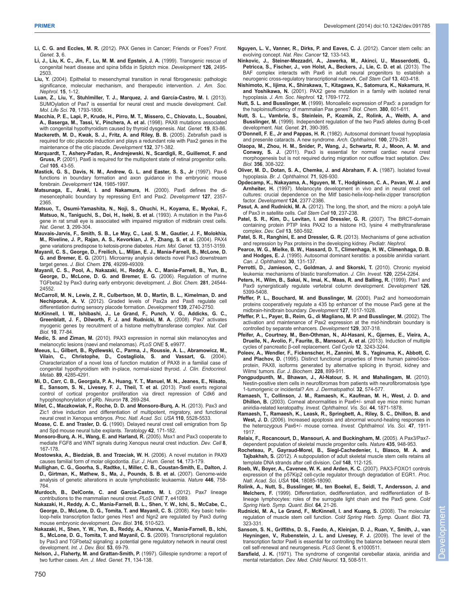- **Li, C. G. and Eccles, M. R.** (2012). PAX Genes in Cancer; Friends or Foes? *Front. Genet.* **3**, 6.
- **Li, J., Liu, K. C., Jin, F., Lu, M. M. and Epstein, J. A.** (1999). Transgenic rescue of congenital heart disease and spina bifida in Splotch mice. *Development* **126**, 2495- 2503.
- **Liu, Y.** (2004). Epithelial to mesenchymal transition in renal fibrogenesis: pathologic significance, molecular mechanism, and therapeutic intervention. *J. Am. Soc. Nephrol.* **15**, 1-12.
- **Luan, Z., Liu, Y., Stuhlmiller, T. J., Marquez, J. and García-Castro, M. I.** (2013). SUMOylation of Pax7 is essential for neural crest and muscle development. *Cell. Mol. Life Sci.* **70**, 1793-1806.
- **Macchia, P. E., Lapi, P., Krude, H., Pirro, M. T., Missero, C., Chiovato, L., Souabni, A., Baserga, M., Tassi, V., Pinchera, A. et al.** (1998). PAX8 mutations associated with congenital hypothyroidism caused by thyroid dysgenesis. *Nat. Genet.* **19**, 83-86.
- **Mackereth, M. D., Kwak, S. J., Fritz, A. and Riley, B. B.** (2005). Zebrafish pax8 is required for otic placode induction and plays a redundant role with Pax2 genes in the maintenance of the otic placode. *Development* **132**, 371-382.
- **Marquardt, T., Ashery-Padan, R., Andrejewski, N., Scardigli, R., Guillemot, F. and Gruss, P.** (2001). Pax6 is required for the multipotent state of retinal progenitor cells. *Cell* **105**, 43-55.
- **Mastick, G. S., Davis, N. M., Andrew, G. L. and Easter, S. S., Jr** (1997). Pax-6 functions in boundary formation and axon guidance in the embryonic mouse forebrain. *Development* **124**, 1985-1997.
- **Matsunaga, E., Araki, I. and Nakamura, H.** (2000). Pax6 defines the dimesencephalic boundary by repressing En1 and Pax2. *Development* **127**, 2357- 2365.
- **Matsuo, T., Osumi-Yamashita, N., Noji, S., Ohuchi, H., Koyama, E., Myokai, F., Matsuo, N., Taniguchi, S., Doi, H., Iseki, S. et al.** (1993). A mutation in the Pax-6 gene in rat small eye is associated with impaired migration of midbrain crest cells. *Nat. Genet.* **3**, 299-304.
- **Mauvais-Jarvis, F., Smith, S. B., Le May, C., Leal, S. M., Gautier, J. F., Molokhia, M., Riveline, J. P., Rajan, A. S., Kevorkian, J. P., Zhang, S. et al.** (2004). PAX4 gene variations predispose to ketosis-prone diabetes. *Hum. Mol. Genet.* **13**, 3151-3159.
- **Mayanil, C. S., George, D., Freilich, L., Miljan, E. J., Mania-Farnell, B., McLone, D. G. and Bremer, E. G.** (2001). Microarray analysis detects novel Pax3 downstream target genes. *J. Biol. Chem.* **276**, 49299-49309.
- **Mayanil, C. S., Pool, A., Nakazaki, H., Reddy, A. C., Mania-Farnell, B., Yun, B., George, D., McLone, D. G. and Bremer, E. G.** (2006). Regulation of murine TGFbeta2 by Pax3 during early embryonic development. *J. Biol. Chem.* **281**, 24544- 24552.
- **McCarroll, M. N., Lewis, Z. R., Culbertson, M. D., Martin, B. L., Kimelman, D. and Nechiporuk, A. V.** (2012). Graded levels of Pax2a and Pax8 regulate cell differentiation during sensory placode formation. *Development* **139**, 2740-2750.
- **McKinnell, I. W., Ishibashi, J., Le Grand, F., Punch, V. G., Addicks, G. C., Greenblatt, J. F., Dilworth, F. J. and Rudnicki, M. A.** (2008). Pax7 activates myogenic genes by recruitment of a histone methyltransferase complex. *Nat. Cell Biol.* **10**, 77-84.
- **Medic, S. and Ziman, M.** (2010). PAX3 expression in normal skin melanocytes and melanocytic lesions (naevi and melanomas). *PLoS ONE* **5**, e9977.
- **Meeus, L., Gilbert, B., Rydlewski, C., Parma, J., Roussie, A. L., Abramowicz, M., Vilain, C., Christophe, D., Costagliola, S. and Vassart, G.** (2004). Characterization of a novel loss of function mutation of PAX8 in a familial case of congenital hypothyroidism with in-place, normal-sized thyroid. *J. Clin. Endocrinol. Metab.* **89**, 4285-4291.
- **Mi, D., Carr, C. B., Georgala, P. A., Huang, Y. T., Manuel, M. N., Jeanes, E., Niisato, E., Sansom, S. N., Livesey, F. J., Theil, T. et al.** (2013). Pax6 exerts regional control of cortical progenitor proliferation via direct repression of Cdk6 and hypophosphorylation of pRb. *Neuron* **78**, 269-284.
- **Milet, C., Maczkowiak, F., Roche, D. D. and Monsoro-Burq, A. H.** (2013). Pax3 and Zic1 drive induction and differentiation of multipotent, migratory, and functional neural crest in Xenopus embryos. *Proc. Natl. Acad. Sci. USA* **110**, 5528-5533.
- **Moase, C. E. and Trasler, D. G.** (1990). Delayed neural crest cell emigration from Sp and Spd mouse neural tube explants. *Teratology* **42**, 171-182.
- **Monsoro-Burq, A. H., Wang, E. and Harland, R.** (2005). Msx1 and Pax3 cooperate to mediate FGF8 and WNT signals during Xenopus neural crest induction. *Dev. Cell* **8**, 167-178.
- **Mostowska, A., Biedziak, B. and Trzeciak, W. H.** (2006). A novel mutation in PAX9 causes familial form of molar oligodontia. *Eur. J. Hum. Genet.* **14**, 173-179.
- **Mullighan, C. G., Goorha, S., Radtke, I., Miller, C. B., Coustan-Smith, E., Dalton, J. D., Girtman, K., Mathew, S., Ma, J., Pounds, S. B. et al.** (2007). Genome-wide analysis of genetic alterations in acute lymphoblastic leukaemia. *Nature* **446**, 758- 764.
- **Murdoch, B., DelConte, C. and García-Castro, M. I.** (2012). Pax7 lineage contributions to the mammalian neural crest. *PLoS ONE* **7**, e41089.
- **Nakazaki, H., Reddy, A. C., Mania-Farnell, B. L., Shen, Y. W., Ichi, S., McCabe, C., George, D., McLone, D. G., Tomita, T. and Mayanil, C. S.** (2008). Key basic helixloop-helix transcription factor genes Hes1 and Ngn2 are regulated by Pax3 during mouse embryonic development. *Dev. Biol.* **316**, 510-523.
- **Nakazaki, H., Shen, Y. W., Yun, B., Reddy, A., Khanna, V., Mania-Farnell, B., Ichi, S., McLone, D. G., Tomita, T. and Mayanil, C. S.** (2009). Transcriptional regulation by Pax3 and TGFbeta2 signaling: a potential gene regulatory network in neural crest development. *Int. J. Dev. Biol.* **53**, 69-79.
- **Nelson, J., Flaherty, M. and Grattan-Smith, P.** (1997). Gillespie syndrome: a report of two further cases. *Am. J. Med. Genet.* **71**, 134-138.
- **Nguyen, L. V., Vanner, R., Dirks, P. and Eaves, C. J.** (2012). Cancer stem cells: an evolving concept. *Nat. Rev. Cancer* **12**, 133-143.
- **Ninkovic, J., Steiner-Mezzadri, A., Jawerka, M., Akinci, U., Masserdotti, G., Petricca, S., Fischer, J., von Holst, A., Beckers, J., Lie, C. D. et al.** (2013). The BAF complex interacts with Pax6 in adult neural progenitors to establish a neurogenic cross-regulatory transcriptional network. *Cell Stem Cell* **13**, 403-418.
- **Nishimoto, K., Iijima, K., Shirakawa, T., Kitagawa, K., Satomura, K., Nakamura, H. and Yoshikawa, N.** (2001). PAX2 gene mutation in a family with isolated renal hypoplasia. *J. Am. Soc. Nephrol.* **12**, 1769-1772.
- **Nutt, S. L. and Busslinger, M.** (1999). Monoallelic expression of Pax5: a paradigm for the haploinsufficiency of mammalian Pax genes? *Biol. Chem.* **380**, 601-611.
- **Nutt, S. L., Vambrie, S., Steinlein, P., Kozmik, Z., Rolink, A., Weith, A. and Busslinger, M.** (1999). Independent regulation of the two Pax5 alleles during B-cell development. *Nat. Genet.* **21**, 390-395.
- **O'Donnell, F. E., Jr and Pappas, H. R.** (1982). Autosomal dominant foveal hypoplasia and presenile cataracts. A new syndrome. *Arch. Ophthalmol.* **100**, 279-281.
- **Olaopa, M., Zhou, H. M., Snider, P., Wang, J., Schwartz, R. J., Moon, A. M. and Conway, S. J.** (2011). Pax3 is essential for normal cardiac neural crest morphogenesis but is not required during migration nor outflow tract septation. *Dev. Biol.* **356**, 308-322.
- **Oliver, M. D., Dotan, S. A., Chemke, J. and Abraham, F. A.** (1987). Isolated foveal hypoplasia. *Br. J. Ophthalmol.* **71**, 926-930.
- **Opdecamp, K., Nakayama, A., Nguyen, M. T., Hodgkinson, C. A., Pavan, W. J. and Arnheiter, H.** (1997). Melanocyte development in vivo and in neural crest cell cultures: crucial dependence on the Mitf basic-helix-loop-helix-zipper transcription factor. *Development* **124**, 2377-2386.
- **Pasut, A. and Rudnicki, M. A.** (2012). The long, the short, and the micro: a polyA tale of Pax3 in satellite cells. *Cell Stem Cell* **10**, 237-238.
- **Patel, S. R., Kim, D., Levitan, I. and Dressler, G. R.** (2007). The BRCT-domain containing protein PTIP links PAX2 to a histone H3, lysine 4 methyltransferase complex. *Dev. Cell* **13**, 580-592.
- **Patel, S. R., Ranghini, E. and Dressler, G. R.** (2013). Mechanisms of gene activation and repression by Pax proteins in the developing kidney. *Pediatr. Nephrol.*
- **Pearce, W. G., Mielke, B. W., Hassard, D. T., Climenhaga, H. W., Climenhaga, D. B. and Hodges, E. J.** (1995). Autosomal dominant keratitis: a possible aniridia variant. *Can. J. Ophthalmol.* **30**, 131-137.
- **Perrotti, D., Jamieson, C., Goldman, J. and Skorski, T.** (2010). Chronic myeloid leukemia: mechanisms of blastic transformation. *J. Clin. Invest.* **120**, 2254-2264.
- **Peters, H., Wilm, B., Sakai, N., Imai, K., Maas, R. and Balling, R.** (1999). Pax1 and Pax9 synergistically regulate vertebral column development. *Development* **126**, 5399-5408.
- **Pfeffer, P. L., Bouchard, M. and Busslinger, M.** (2000). Pax2 and homeodomain proteins cooperatively regulate a 435 bp enhancer of the mouse Pax5 gene at the midbrain-hindbrain boundary. *Development* **127**, 1017-1028.
- **Pfeffer, P. L., Payer, B., Reim, G., di Magliano, M. P. and Busslinger, M.** (2002). The activation and maintenance of Pax2 expression at the mid-hindbrain boundary is controlled by separate enhancers. *Development* **129**, 307-318.
- **Pfeifer, A., Courtney, M., Ben-Othman, N., Al-Hasani, K., Gjernes, E., Vieira, A., Druelle, N., Avolio, F., Faurite, B., Mansouri, A. et al.** (2013). Induction of multiple cycles of pancreatic β-cell replacement. *Cell Cycle* **12**, 3243-3244.
- **Poleev, A., Wendler, F., Fickenscher, H., Zannini, M. S., Yaginuma, K., Abbott, C. and Plachov, D.** (1995). Distinct functional properties of three human paired-boxprotein, PAX8, isoforms generated by alternative splicing in thyroid, kidney and Wilms' tumors. *Eur. J. Biochem.* **228**, 899-911.
- **Pongpudpunth, M., Bhawan, J., Al-Natour, S. H. and Mahalingam, M.** (2010). Nestin-positive stem cells in neurofibromas from patients with neurofibromatosis type 1-tumorigenic or incidental? *Am. J. Dermatopathol.* **32**, 574-577.
- **Ramaesh, T., Collinson, J. M., Ramaesh, K., Kaufman, M. H., West, J. D. and Dhillon, B.** (2003). Corneal abnormalities in Pax6+/- small eye mice mimic human aniridia-related keratopathy. *Invest. Ophthalmol. Vis. Sci.* **44**, 1871-1878.
- **Ramaesh, T., Ramaesh, K., Leask, R., Springbett, A., Riley, S. C., Dhillon, B. and West, J. D.** (2006). Increased apoptosis and abnormal wound-healing responses in the heterozygous Pax6+/- mouse cornea. *Invest. Ophthalmol. Vis. Sci.* **47**, 1911- 1917.
- **Relaix, F., Rocancourt, D., Mansouri, A. and Buckingham, M.** (2005). A Pax3/Pax7 dependent population of skeletal muscle progenitor cells. *Nature* **435**, 948-953.
- **Rocheteau, P., Gayraud-Morel, B., Siegl-Cachedenier, I., Blasco, M. A. and Tajbakhsh, S.** (2012). A subpopulation of adult skeletal muscle stem cells retains all template DNA strands after cell division. *Cell* **148**, 112-125.
- **Roeb, W., Boyer, A., Cavenee, W. K. and Arden, K. C.** (2007). PAX3-FOXO1 controls expression of the p57Kip2 cell-cycle regulator through degradation of EGR1. *Proc. Natl. Acad. Sci. USA* **104**, 18085-18090.
- **Rolink, A., Nutt, S., Busslinger, M., ten Boekel, E., Seidl, T., Andersson, J. and Melchers, F.** (1999). Differentiation, dedifferentiation, and redifferentiation of Blineage lymphocytes: roles of the surrogate light chain and the Pax5 gene. *Cold Spring Harb. Symp. Quant. Biol.* **64**, 21-26.
- **Rudnicki, M. A., Le Grand, F., McKinnell, I. and Kuang, S.** (2008). The molecular regulation of muscle stem cell function. *Cold Spring Harb. Symp. Quant. Biol.* **73**, 323-331.
- **Sansom, S. N., Griffiths, D. S., Faedo, A., Kleinjan, D. J., Ruan, Y., Smith, J., van Heyningen, V., Rubenstein, J. L. and Livesey, F. J.** (2009). The level of the transcription factor Pax6 is essential for controlling the balance between neural stem cell self-renewal and neurogenesis. *PLoS Genet.* **5**, e1000511.
- Sarsfield, J. K. (1971). The syndrome of congenital cerebellar ataxia, aniridia and mental retardation. *Dev. Med. Child Neurol.* **13**, 508-511.